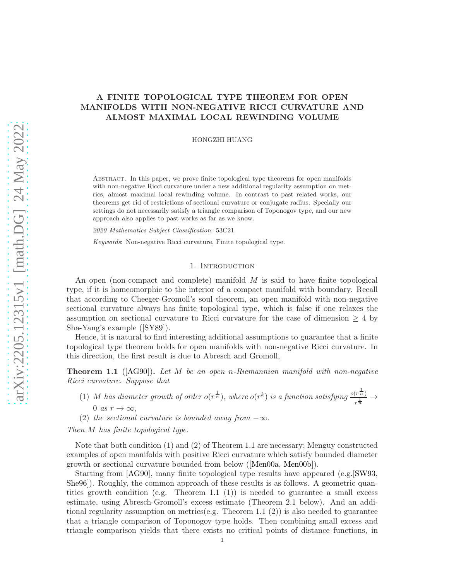# <span id="page-0-1"></span>A FINITE TOPOLOGICAL TYPE THEOREM FOR OPEN MANIFOLDS WITH NON-NEGATIVE RICCI CURVATURE AND ALMOST MAXIMAL LOCAL REWINDING VOLUME

HONGZHI HUANG

Abstract. In this paper, we prove finite topological type theorems for open manifolds with non-negative Ricci curvature under a new additional regularity assumption on metrics, almost maximal local rewinding volume. In contrast to past related works, our theorems get rid of restrictions of sectional curvature or conjugate radius. Specially our settings do not necessarily satisfy a triangle comparison of Toponogov type, and our new approach also applies to past works as far as we know.

2020 Mathematics Subject Classification: 53C21.

Keywords: Non-negative Ricci curvature, Finite topological type.

#### 1. Introduction

An open (non-compact and complete) manifold  $M$  is said to have finite topological type, if it is homeomorphic to the interior of a compact manifold with boundary. Recall that according to Cheeger-Gromoll's soul theorem, an open manifold with non-negative sectional curvature always has finite topological type, which is false if one relaxes the assumption on sectional curvature to Ricci curvature for the case of dimension  $\geq 4$  by Sha-Yang's example ([\[SY89\]](#page-22-0)).

Hence, it is natural to find interesting additional assumptions to guarantee that a finite topological type theorem holds for open manifolds with non-negative Ricci curvature. In this direction, the first result is due to Abresch and Gromoll,

<span id="page-0-0"></span>**Theorem 1.1** ( $[AG90]$ ). Let M be an open n-Riemannian manifold with non-negative Ricci curvature. Suppose that

- (1) M has diameter growth of order  $o(r^{\frac{1}{n}})$ , where  $o(r^k)$  is a function satisfying  $\frac{o(r^{\frac{1}{n}})}{1}$  $rac{\binom{r}{n}}{r^{\frac{1}{n}}} \rightarrow$ 0 as  $r \to \infty$ .
- (2) the sectional curvature is bounded away from  $-\infty$ .

Then M has finite topological type.

Note that both condition (1) and (2) of Theorem [1.1](#page-0-0) are necessary; Menguy constructed examples of open manifolds with positive Ricci curvature which satisfy bounded diameter growth or sectional curvature bounded from below ([\[Men00a,](#page-22-1) [Men00b\]](#page-22-2)).

Starting from [\[AG90\]](#page-21-0), many finite topological type results have appeared (e.g.[\[SW93,](#page-22-3) [She96\]](#page-22-4)). Roughly, the common approach of these results is as follows. A geometric quan-tities growth condition (e.g. Theorem [1.1](#page-0-0)  $(1)$ ) is needed to guarantee a small excess estimate, using Abresch-Gromoll's excess estimate (Theorem [2.1](#page-4-0) below). And an addi-tional regularity assumption on metrics(e.g. Theorem [1.1](#page-0-0)  $(2)$ ) is also needed to guarantee that a triangle comparison of Toponogov type holds. Then combining small excess and triangle comparison yields that there exists no critical points of distance functions, in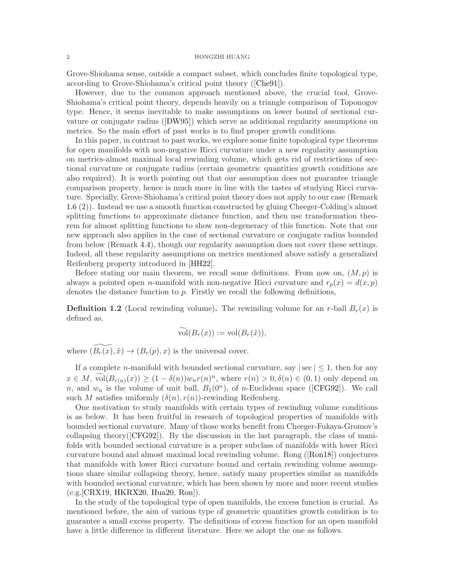<span id="page-1-0"></span>Grove-Shiohama sense, outside a compact subset, which concludes finite topological type, according to Grove-Shiohama's critical point theory ([\[Che91\]](#page-21-1)).

However, due to the common approach mentioned above, the crucial tool, Grove-Shiohama's critical point theory, depends heavily on a triangle comparison of Toponogov type. Hence, it seems inevitable to make assumptions on lower bound of sectional curvature or conjugate radius ([\[DW95\]](#page-22-5)) which serve as additional regularity assumptions on metrics. So the main effort of past works is to find proper growth conditions.

In this paper, in contrast to past works, we explore some finite topological type theorems for open manifolds with non-negative Ricci curvature under a new regularity assumption on metrics-almost maximal local rewinding volume, which gets rid of restrictions of sectional curvature or conjugate radius (certain geometric quantities growth conditions are also required). It is worth pointing out that our assumption does not guarantee triangle comparison property, hence is much more in line with the tastes of studying Ricci curvature. Specially, Grove-Shiohama's critical point theory does not apply to our case (Remark [1.6](#page-2-0) (2)). Instead we use a smooth function constructed by gluing Cheeger-Colding's almost splitting functions to approximate distance function, and then use transformation theorem for almost splitting functions to show non-degeneracy of this function. Note that our new approach also applies in the case of sectional curvature or conjugate radius bounded from below (Remark [4.4\)](#page-16-0), though our regularity assumption does not cover these settings. Indeed, all these regularity assumptions on metrics mentioned above satisfy a generalized Reifenberg property introduced in [\[HH22\]](#page-22-6).

Before stating our main theorem, we recall some definitions. From now on,  $(M, p)$  is always a pointed open n-manifold with non-negative Ricci curvature and  $r_p(x) = d(x, p)$ denotes the distance function to  $p$ . Firstly we recall the following definitions,

**Definition 1.2** (Local rewinding volume). The rewinding volume for an r-ball  $B_r(x)$  is defined as,

$$
vol(B_r(x)) := vol(B_r(\tilde{x})),
$$

where  $(\widetilde{B_r(x)}, \tilde{x}) \rightarrow (B_r(p), x)$  is the universal cover.

If a complete *n*-manifold with bounded sectional curvature, say  $|\sec| \leq 1$ , then for any  $x \in M$ ,  $vol(B_{r(n)}(x)) \ge (1 - \delta(n))w_n r(n)^n$ , where  $r(n) > 0, \delta(n) \in (0, 1)$  only depend on n, and  $w_n$  is the volume of unit ball,  $B_1(0^n)$ , of n-Euclidean space ([\[CFG92\]](#page-21-2)). We call such M satisfies uniformly  $(\delta(n), r(n))$ -rewinding Reifenberg.

One motivation to study manifolds with certain types of rewinding volume conditions is as below. It has been fruitful in research of topological properties of manifolds with bounded sectional curvature. Many of those works benefit from Cheeger-Fukaya-Gromov's collapsing theory( $[CFG92]$ ). By the discussion in the last paragraph, the class of manifolds with bounded sectional curvature is a proper subclass of manifolds with lower Ricci curvature bound and almost maximal local rewinding volume. Rong ([\[Ron18\]](#page-22-7)) conjectures that manifolds with lower Ricci curvature bound and certain rewinding volume assumptions share similar collapsing theory, hence, satisfy many properties similar as manifolds with bounded sectional curvature, which has been shown by more and more recent studies (e.g.[\[CRX19,](#page-22-8) [HKRX20,](#page-22-9) [Hua20,](#page-22-10) [Ron\]](#page-22-11)).

In the study of the topological type of open manifolds, the excess function is crucial. As mentioned before, the aim of various type of geometric quantities growth condition is to guarantee a small excess property. The definitions of excess function for an open manifold have a little difference in different literature. Here we adopt the one as follows.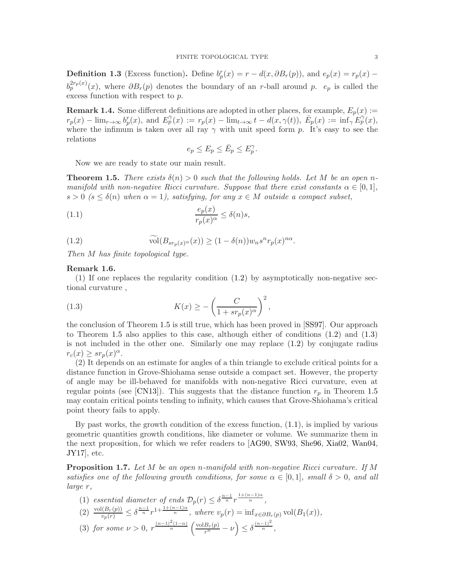<span id="page-2-6"></span>**Definition 1.3** (Excess function). Define  $b_p^r(x) = r - d(x, \partial B_r(p))$ , and  $e_p(x) = r_p(x) - d(x, \partial B_r(p))$  $b_p^{2r_p(x)}(x)$ , where  $\partial B_r(p)$  denotes the boundary of an r-ball around p.  $e_p$  is called the excess function with respect to p.

**Remark 1.4.** Some different definitions are adopted in other places, for example,  $E_p(x)$  :=  $r_p(x) - \lim_{r \to \infty} b_p^r(x)$ , and  $E_p^{\gamma}(x) := r_p(x) - \lim_{t \to \infty} t - d(x, \gamma(t))$ ,  $\overline{E}_p(x) := \inf_{\gamma} \overline{E}_p^{\gamma}(x)$ , where the infimum is taken over all ray  $\gamma$  with unit speed form p. It's easy to see the relations

<span id="page-2-4"></span>
$$
e_p\leq E_p\leq \bar E_p\leq E_p^\gamma.
$$

Now we are ready to state our main result.

<span id="page-2-2"></span>**Theorem 1.5.** There exists  $\delta(n) > 0$  such that the following holds. Let M be an open nmanifold with non-negative Ricci curvature. Suppose that there exist constants  $\alpha \in [0,1]$ ,  $s > 0$  ( $s \leq \delta(n)$  when  $\alpha = 1$ ), satisfying, for any  $x \in M$  outside a compact subset,

(1.1) 
$$
\frac{e_p(x)}{r_p(x)^\alpha} \le \delta(n)s,
$$

<span id="page-2-1"></span>(1.2) 
$$
\widetilde{\text{vol}}(B_{sr_p(x)^\alpha}(x)) \ge (1 - \delta(n))w_ns^n r_p(x)^{n\alpha}.
$$

Then M has finite topological type.

## <span id="page-2-0"></span>Remark 1.6.

(1) If one replaces the regularity condition [\(1.2\)](#page-2-1) by asymptotically non-negative sectional curvature ,

<span id="page-2-3"></span>(1.3) 
$$
K(x) \ge -\left(\frac{C}{1 + sr_p(x)^{\alpha}}\right)^2,
$$

the conclusion of Theorem [1.5](#page-2-2) is still true, which has been proved in [\[SS97\]](#page-22-12). Our approach to Theorem [1.5](#page-2-2) also applies to this case, although either of conditions  $(1.2)$  and  $(1.3)$ is not included in the other one. Similarly one may replace [\(1.2\)](#page-2-1) by conjugate radius  $r_c(x) \geq sr_p(x)^{\alpha}.$ 

(2) It depends on an estimate for angles of a thin triangle to exclude critical points for a distance function in Grove-Shiohama sense outside a compact set. However, the property of angle may be ill-behaved for manifolds with non-negative Ricci curvature, even at regular points (see [\[CN13\]](#page-21-3)). This suggests that the distance function  $r_p$  in Theorem [1.5](#page-2-2) may contain critical points tending to infinity, which causes that Grove-Shiohama's critical point theory fails to apply.

By past works, the growth condition of the excess function,  $(1.1)$ , is implied by various geometric quantities growth conditions, like diameter or volume. We summarize them in the next proposition, for which we refer readers to [\[AG90,](#page-21-0) [SW93,](#page-22-3) [She96,](#page-22-4) [Xia02,](#page-22-13) [Wan04,](#page-22-14) [JY17\]](#page-22-15), etc.

<span id="page-2-5"></span>Proposition 1.7. Let M be an open n-manifold with non-negative Ricci curvature. If M satisfies one of the following growth conditions, for some  $\alpha \in [0,1]$ , small  $\delta > 0$ , and all large r,

(1) essential diameter of ends  $\mathcal{D}_p(r) \leq \delta^{\frac{n-1}{n}} r^{\frac{1+(n-1)\alpha}{n}},$ (2)  $\frac{\text{vol}(B_r(p))}{v_p(r)} \leq \delta^{\frac{n-1}{n}} r^{1+\frac{1+(n-1)\alpha}{n}}$ , where  $v_p(r) = \inf_{x \in \partial B_r(p)} \text{vol}(B_1(x)),$ (3) for some  $\nu > 0$ ,  $r^{\frac{(n-1)^2(1-\alpha)}{n}}\left(\frac{\text{vol}B_r(p)}{r^n} - \nu\right) \leq \delta^{\frac{(n-1)^2}{n}},$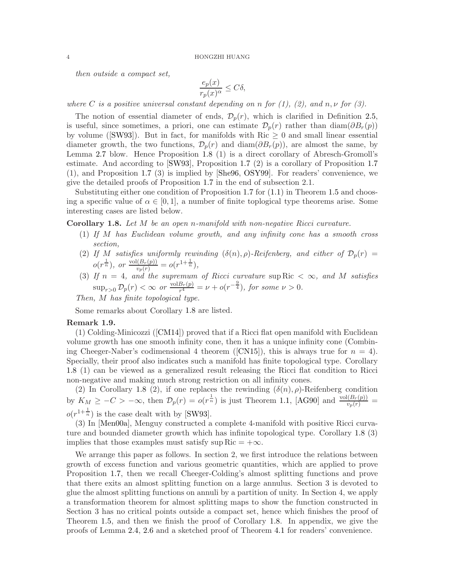<span id="page-3-1"></span>then outside a compact set,

$$
\frac{e_p(x)}{r_p(x)^\alpha} \le C\delta,
$$

where C is a positive universal constant depending on n for  $(1)$ ,  $(2)$ , and  $n, \nu$  for  $(3)$ .

The notion of essential diameter of ends,  $\mathcal{D}_p(r)$ , which is clarified in Definition [2.5,](#page-5-0) is useful, since sometimes, a priori, one can estimate  $\mathcal{D}_p(r)$  rather than diam $(\partial B_r(p))$ by volume ([\[SW93\]](#page-22-3)). But in fact, for manifolds with  $\text{Ric} \geq 0$  and small linear essential diameter growth, the two functions,  $\mathcal{D}_p(r)$  and  $\text{diam}(\partial B_r(p))$ , are almost the same, by Lemma [2.7](#page-5-1) blow. Hence Proposition [1.8](#page-3-0) (1) is a direct corollary of Abresch-Gromoll's estimate. And according to [\[SW93\]](#page-22-3), Proposition [1.7](#page-2-5) (2) is a corollary of Proposition [1.7](#page-2-5) (1), and Proposition [1.7](#page-2-5) (3) is implied by [\[She96,](#page-22-4) [OSY99\]](#page-22-16). For readers' convenience, we give the detailed proofs of Proposition [1.7](#page-2-5) in the end of subsection 2.1.

Substituting either one condition of Proposition [1.7](#page-2-5) for  $(1.1)$  in Theorem [1.5](#page-2-2) and choosing a specific value of  $\alpha \in [0, 1]$ , a number of finite toplogical type theorems arise. Some interesting cases are listed below.

<span id="page-3-0"></span>Corollary 1.8. Let M be an open n-manifold with non-negative Ricci curvature.

- (1) If M has Euclidean volume growth, and any infinity cone has a smooth cross section,
- (2) If M satisfies uniformly rewinding  $(\delta(n), \rho)$ -Reifenberg, and either of  $\mathcal{D}_p(r)$  =  $o(r^{\frac{1}{n}}), \text{ or } \frac{\text{vol}(B_r(p))}{v_p(r)} = o(r^{1+\frac{1}{n}}),$
- (3) If  $n = 4$ , and the supremum of Ricci curvature sup Ric  $< \infty$ , and M satisfies  $\sup_{r>0} \mathcal{D}_p(r) < \infty$  or  $\frac{\text{vol}B_r(p)}{r^4}$  $\frac{B_r(p)}{r^4} = \nu + o(r^{-\frac{9}{4}}),$  for some  $\nu > 0$ .

Then, M has finite topological type.

Some remarks about Corollary [1.8](#page-3-0) are listed.

#### Remark 1.9.

(1) Colding-Minicozzi ([\[CM14\]](#page-21-4)) proved that if a Ricci flat open manifold with Euclidean volume growth has one smooth infinity cone, then it has a unique infinity cone (Combin-ing Cheeger-Naber's codimensional 4 theorem ([\[CN15\]](#page-22-17)), this is always true for  $n = 4$ ). Specially, their proof also indicates such a manifold has finite topological type. Corollary [1.8](#page-3-0) (1) can be viewed as a generalized result releasing the Ricci flat condition to Ricci non-negative and making much strong restriction on all infinity cones.

(2) In Corollary [1.8](#page-3-0) (2), if one replaces the rewinding  $(\delta(n), \rho)$ -Reifenberg condition by  $K_M \geq -C > -\infty$ , then  $\mathcal{D}_p(r) = o(r^{\frac{1}{n}})$  is just Theorem [1.1,](#page-0-0) [\[AG90\]](#page-21-0) and  $\frac{\text{vol}(B_r(p))}{v_p(r)} =$  $o(r^{1+\frac{1}{n}})$  is the case dealt with by [\[SW93\]](#page-22-3).

(3) In [\[Men00a\]](#page-22-1), Menguy constructed a complete 4-manifold with positive Ricci curvature and bounded diameter growth which has infinite topological type. Corollary [1.8](#page-3-0) (3) implies that those examples must satisfy sup Ric  $= +\infty$ .

We arrange this paper as follows. In section 2, we first introduce the relations between growth of excess function and various geometric quantities, which are applied to prove Proposition [1.7,](#page-2-5) then we recall Cheeger-Colding's almost splitting functions and prove that there exits an almost splitting function on a large annulus. Section 3 is devoted to glue the almost splitting functions on annuli by a partition of unity. In Section 4, we apply a transformation theorem for almost splitting maps to show the function constructed in Section 3 has no critical points outside a compact set, hence which finishes the proof of Theorem [1.5,](#page-2-2) and then we finish the proof of Corollary [1.8.](#page-3-0) In appendix, we give the proofs of Lemma [2.4,](#page-4-1) [2.6](#page-5-2) and a sketched proof of Theorem [4.1](#page-13-0) for readers' convenience.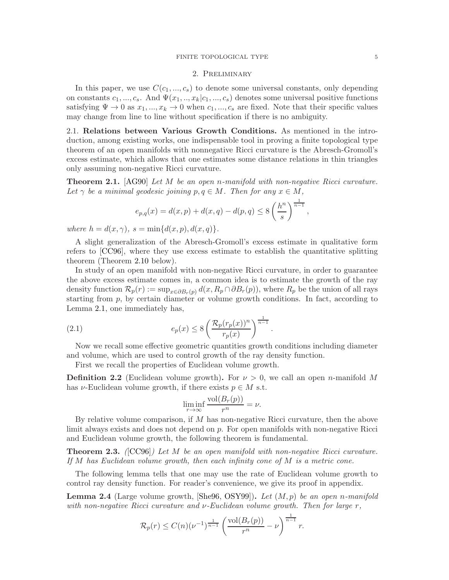# 2. Preliminary

<span id="page-4-4"></span>In this paper, we use  $C(c_1, ..., c_s)$  to denote some universal constants, only depending on constants  $c_1, ..., c_s$ . And  $\Psi(x_1, ..., x_k|c_1, ..., c_s)$  denotes some universal positive functions satisfying  $\Psi \to 0$  as  $x_1, ..., x_k \to 0$  when  $c_1, ..., c_s$  are fixed. Note that their specific values may change from line to line without specification if there is no ambiguity.

2.1. Relations between Various Growth Conditions. As mentioned in the introduction, among existing works, one indispensable tool in proving a finite topological type theorem of an open manifolds with nonnegative Ricci curvature is the Abresch-Gromoll's excess estimate, which allows that one estimates some distance relations in thin triangles only assuming non-negative Ricci curvature.

<span id="page-4-0"></span>Theorem 2.1. [\[AG90\]](#page-21-0) Let M be an open n-manifold with non-negative Ricci curvature. Let  $\gamma$  be a minimal geodesic joining  $p, q \in M$ . Then for any  $x \in M$ ,

$$
e_{p,q}(x) = d(x,p) + d(x,q) - d(p,q) \le 8\left(\frac{h^n}{s}\right)^{\frac{1}{n-1}},
$$

where  $h = d(x, \gamma)$ ,  $s = \min\{d(x, p), d(x, q)\}.$ 

A slight generalization of the Abresch-Gromoll's excess estimate in qualitative form refers to [\[CC96\]](#page-21-5), where they use excess estimate to establish the quantitative splitting theorem (Theorem [2.10](#page-8-0) below).

In study of an open manifold with non-negative Ricci curvature, in order to guarantee the above excess estimate comes in, a common idea is to estimate the growth of the ray density function  $\mathcal{R}_p(r) := \sup_{x \in \partial B_r(p)} d(x, R_p \cap \partial B_r(p))$ , where  $R_p$  be the union of all rays starting from p, by certain diameter or volume growth conditions. In fact, according to Lemma [2.1,](#page-4-0) one immediately has,

(2.1) 
$$
e_p(x) \le 8 \left( \frac{\mathcal{R}_p(r_p(x))^n}{r_p(x)} \right)^{\frac{1}{n-1}}.
$$

Now we recall some effective geometric quantities growth conditions including diameter and volume, which are used to control growth of the ray density function.

First we recall the properties of Euclidean volume growth.

**Definition 2.2** (Euclidean volume growth). For  $\nu > 0$ , we call an open *n*-manifold M has  $\nu$ -Euclidean volume growth, if there exists  $p \in M$  s.t.

<span id="page-4-2"></span>
$$
\liminf_{r \to \infty} \frac{\text{vol}(B_r(p))}{r^n} = \nu.
$$

By relative volume comparison, if  $M$  has non-negative Ricci curvature, then the above limit always exists and does not depend on p. For open manifolds with non-negative Ricci and Euclidean volume growth, the following theorem is fundamental.

<span id="page-4-3"></span>Theorem 2.3. ([\[CC96\]](#page-21-5)) Let M be an open manifold with non-negative Ricci curvature. If M has Euclidean volume growth, then each infinity cone of M is a metric cone.

The following lemma tells that one may use the rate of Euclidean volume growth to control ray density function. For reader's convenience, we give its proof in appendix.

<span id="page-4-1"></span>**Lemma 2.4** (Large volume growth, [\[She96,](#page-22-4) [OSY99\]](#page-22-16)). Let  $(M, p)$  be an open n-manifold with non-negative Ricci curvature and  $\nu$ -Euclidean volume growth. Then for large  $r$ ,

$$
\mathcal{R}_p(r) \le C(n)(\nu^{-1})^{\frac{1}{n-1}} \left( \frac{\text{vol}(B_r(p))}{r^n} - \nu \right)^{\frac{1}{n-1}} r.
$$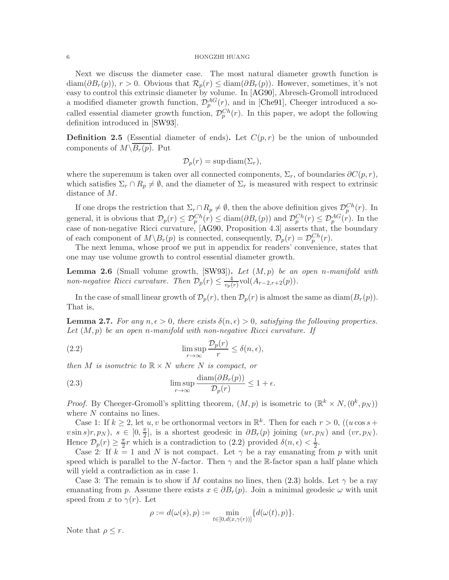<span id="page-5-5"></span>Next we discuss the diameter case. The most natural diameter growth function is  $\text{diam}(\partial B_r(p)), r > 0.$  Obvious that  $\mathcal{R}_p(r) \leq \text{diam}(\partial B_r(p)).$  However, sometimes, it's not easy to control this extrinsic diameter by volume. In [\[AG90\]](#page-21-0), Abresch-Gromoll introduced a modified diameter growth function,  $\mathcal{D}_{p}^{AG}(r)$ , and in [\[Che91\]](#page-21-1), Cheeger introduced a socalled essential diameter growth function,  $\mathcal{D}_{p}^{Ch}(r)$ . In this paper, we adopt the following definition introduced in [\[SW93\]](#page-22-3).

<span id="page-5-0"></span>**Definition 2.5** (Essential diameter of ends). Let  $C(p,r)$  be the union of unbounded components of  $M\setminus \overline{B_r(p)}$ . Put

$$
\mathcal{D}_p(r) = \sup \operatorname{diam}(\Sigma_r),
$$

where the superemum is taken over all connected components,  $\Sigma_r$ , of boundaries  $\partial C(p, r)$ , which satisfies  $\Sigma_r \cap R_p \neq \emptyset$ , and the diameter of  $\Sigma_r$  is measured with respect to extrinsic distance of M.

If one drops the restriction that  $\Sigma_r \cap R_p \neq \emptyset$ , then the above definition gives  $\mathcal{D}_p^{Ch}(r)$ . In general, it is obvious that  $\mathcal{D}_p(r) \leq \mathcal{D}_p^{Ch}(r) \leq \text{diam}(\partial B_r(p))$  and  $\mathcal{D}_p^{Ch}(r) \leq \mathcal{D}_p^{AG}(r)$ . In the case of non-negative Ricci curvature, [\[AG90,](#page-21-0) Proposition 4.3] asserts that, the boundary of each component of  $M \backslash B_r(p)$  is connected, consequently,  $\mathcal{D}_p(r) = \mathcal{D}_p^{Ch}(r)$ .

The next lemma, whose proof we put in appendix for readers' convenience, states that one may use volume growth to control essential diameter growth.

<span id="page-5-2"></span>**Lemma 2.6** (Small volume growth, [\[SW93\]](#page-22-3)). Let  $(M, p)$  be an open n-manifold with non-negative Ricci curvature. Then  $\mathcal{D}_p(r) \leq \frac{4}{m}$  $\frac{4}{v_p(r)}$ vol $(A_{r-2,r+2}(p)).$ 

In the case of small linear growth of  $\mathcal{D}_p(r)$ , then  $\mathcal{D}_p(r)$  is almost the same as diam( $B_r(p)$ ). That is,

<span id="page-5-1"></span>**Lemma 2.7.** For any  $n, \epsilon > 0$ , there exists  $\delta(n, \epsilon) > 0$ , satisfying the following properties. Let  $(M, p)$  be an open n-manifold with non-negative Ricci curvature. If

<span id="page-5-3"></span>(2.2) 
$$
\limsup_{r \to \infty} \frac{\mathcal{D}_p(r)}{r} \le \delta(n, \epsilon),
$$

then M is isometric to  $\mathbb{R} \times N$  where N is compact, or

<span id="page-5-4"></span>(2.3) 
$$
\limsup_{r \to \infty} \frac{\text{diam}(\partial B_r(p))}{\mathcal{D}_p(r)} \leq 1 + \epsilon.
$$

*Proof.* By Cheeger-Gromoll's splitting theorem,  $(M, p)$  is isometric to  $(\mathbb{R}^k \times N, (0^k, p_N))$ where N contains no lines.

Case 1: If  $k \geq 2$ , let  $u, v$  be orthonormal vectors in  $\mathbb{R}^k$ . Then for each  $r > 0$ , (( $u \cos s +$  $v \sin s$  $(r, p_N)$ ,  $s \in [0, \frac{\pi}{2}]$  $\frac{\pi}{2}$ , is a shortest geodesic in  $\partial B_r(p)$  joining  $(ur, p_N)$  and  $(vr, p_N)$ . Hence  $\mathcal{D}_p(r) \geq \frac{\pi}{2}r$  which is a contradiction to [\(2.2\)](#page-5-3) provided  $\delta(n, \epsilon) < \frac{1}{2}$ .

Case 2: If  $k = 1$  and N is not compact. Let  $\gamma$  be a ray emanating from p with unit speed which is parallel to the N-factor. Then  $\gamma$  and the R-factor span a half plane which will yield a contradiction as in case 1.

Case 3: The remain is to show if M contains no lines, then  $(2.3)$  holds. Let  $\gamma$  be a ray emanating from p. Assume there exists  $x \in \partial B_r(p)$ . Join a minimal geodesic  $\omega$  with unit speed from x to  $\gamma(r)$ . Let

$$
\rho := d(\omega(s), p) := \min_{t \in [0, d(x, \gamma(r))]} \{d(\omega(t), p)\}.
$$

Note that  $\rho \leq r$ .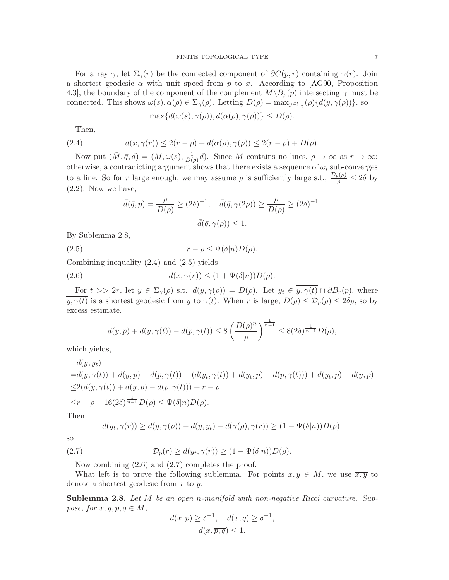<span id="page-6-4"></span>For a ray  $\gamma$ , let  $\Sigma_{\gamma}(r)$  be the connected component of  $\partial C(p, r)$  containing  $\gamma(r)$ . Join a shortest geodesic  $\alpha$  with unit speed from p to x. According to [\[AG90,](#page-21-0) Proposition 4.3], the boundary of the component of the complement  $M\setminus B<sub>o</sub>(p)$  intersecting  $\gamma$  must be connected. This shows  $\omega(s), \alpha(\rho) \in \Sigma_{\gamma}(\rho)$ . Letting  $D(\rho) = \max_{y \in \Sigma_{\gamma}} (\rho) \{d(y, \gamma(\rho))\}$ , so

<span id="page-6-0"></span>
$$
\max\{d(\omega(s),\gamma(\rho)),d(\alpha(\rho),\gamma(\rho))\}\leq D(\rho).
$$

Then,

(2.4) 
$$
d(x,\gamma(r)) \leq 2(r-\rho) + d(\alpha(\rho),\gamma(\rho)) \leq 2(r-\rho) + D(\rho).
$$

Now put  $(\bar{M}, \bar{q}, \bar{d}) = (M, \omega(s), \frac{1}{D(s)})$  $\frac{1}{D(\rho)}d$ ). Since M contains no lines,  $\rho \to \infty$  as  $r \to \infty$ ; otherwise, a contradicting argument shows that there exists a sequence of  $\omega_i$  sub-converges to a line. So for r large enough, we may assume  $\rho$  is sufficiently large s.t.,  $\frac{\mathcal{D}_p(\rho)}{\rho} \leq 2\delta$  by  $(2.2)$ . Now we have,

<span id="page-6-1"></span>
$$
\bar{d}(\bar{q}, p) = \frac{\rho}{D(\rho)} \ge (2\delta)^{-1}, \quad \bar{d}(\bar{q}, \gamma(2\rho)) \ge \frac{\rho}{D(\rho)} \ge (2\delta)^{-1},
$$

$$
\bar{d}(\bar{q}, \gamma(\rho)) \le 1.
$$

By Sublemma 2.8,

(2.5)  $r - \rho \leq \Psi(\delta | n) D(\rho).$ 

Combining inequality [\(2.4\)](#page-6-0) and [\(2.5\)](#page-6-1) yields

(2.6) 
$$
d(x, \gamma(r)) \le (1 + \Psi(\delta|n))D(\rho).
$$

For  $t >> 2r$ , let  $y \in \Sigma_{\gamma}(\rho)$  s.t.  $d(y, \gamma(\rho)) = D(\rho)$ . Let  $y_t \in \overline{y, \gamma(t)} \cap \partial B_r(p)$ , where  $y, \gamma(t)$  is a shortest geodesic from y to  $\gamma(t)$ . When r is large,  $D(\rho) \leq \mathcal{D}_{p}(\rho) \leq 2\delta\rho$ , so by excess estimate,

<span id="page-6-2"></span>
$$
d(y, p) + d(y, \gamma(t)) - d(p, \gamma(t)) \le 8 \left( \frac{D(\rho)^n}{\rho} \right)^{\frac{1}{n-1}} \le 8(2\delta)^{\frac{1}{n-1}} D(\rho),
$$

which yields,

$$
d(y, y_t)
$$
  
= $d(y, \gamma(t)) + d(y, p) - d(p, \gamma(t)) - (d(y_t, \gamma(t)) + d(y_t, p) - d(p, \gamma(t))) + d(y_t, p) - d(y, p)$   
 $\leq 2(d(y, \gamma(t)) + d(y, p) - d(p, \gamma(t))) + r - \rho$   
 $\leq r - \rho + 16(2\delta)^{\frac{1}{n-1}} D(\rho) \leq \Psi(\delta|n) D(\rho).$ 

Then

<span id="page-6-3"></span>
$$
d(y_t, \gamma(r)) \ge d(y, \gamma(\rho)) - d(y, y_t) - d(\gamma(\rho), \gamma(r)) \ge (1 - \Psi(\delta | n))D(\rho),
$$

so

(2.7) 
$$
\mathcal{D}_p(r) \ge d(y_t, \gamma(r)) \ge (1 - \Psi(\delta | n)) D(\rho).
$$

Now combining [\(2.6\)](#page-6-2) and [\(2.7\)](#page-6-3) completes the proof.

What left is to prove the following sublemma. For points  $x, y \in M$ , we use  $\overline{x, y}$  to denote a shortest geodesic from  $x$  to  $y$ .

Sublemma 2.8. Let M be an open n-manifold with non-negative Ricci curvature. Suppose, for  $x, y, p, q \in M$ ,

$$
d(x, p) \ge \delta^{-1}, \quad d(x, q) \ge \delta^{-1},
$$
  

$$
d(x, \overline{p, q}) \le 1.
$$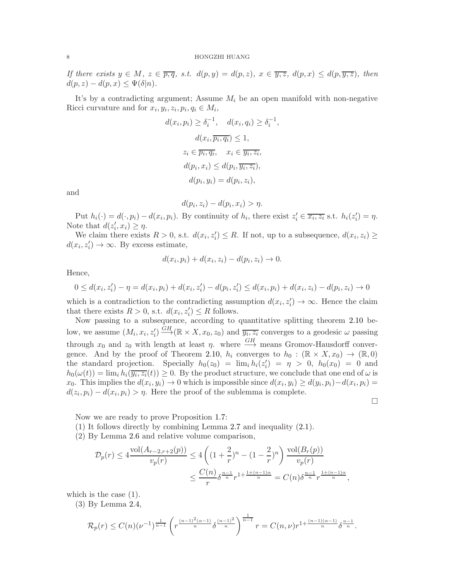If there exists  $y \in M$ ,  $z \in \overline{p,q}$ , s.t.  $d(p,y) = d(p,z)$ ,  $x \in \overline{y,z}$ ,  $d(p,x) \leq d(p,\overline{y,z})$ , then  $d(p, z) - d(p, x) \leq \Psi(\delta | n).$ 

It's by a contradicting argument; Assume  $M_i$  be an open manifold with non-negative Ricci curvature and for  $x_i, y_i, z_i, p_i, q_i \in M_i$ ,

,

$$
d(x_i, p_i) \ge \delta_i^{-1}, \quad d(x_i, q_i) \ge \delta_i^{-1}
$$

$$
d(x_i, \overline{p_i, q_i}) \le 1,
$$

$$
z_i \in \overline{p_i, q_i}, \quad x_i \in \overline{y_i, z_i},
$$

$$
d(p_i, x_i) \le d(p_i, \overline{y_i, z_i}),
$$

$$
d(p_i, y_i) = d(p_i, z_i),
$$

and

$$
d(p_i, z_i) - d(p_i, x_i) > \eta.
$$

Put  $h_i(\cdot) = d(\cdot, p_i) - d(x_i, p_i)$ . By continuity of  $h_i$ , there exist  $z_i' \in \overline{x_i, z_i}$  s.t.  $h_i(z_i') = \eta$ . Note that  $d(z'_i, x_i) \geq \eta$ .

We claim there exists  $R > 0$ , s.t.  $d(x_i, z'_i) \leq R$ . If not, up to a subsequence,  $d(x_i, z_i) \geq$  $d(x_i, z'_i) \to \infty$ . By excess estimate,

$$
d(x_i, p_i) + d(x_i, z_i) - d(p_i, z_i) \rightarrow 0.
$$

Hence,

$$
0 \le d(x_i, z'_i) - \eta = d(x_i, p_i) + d(x_i, z'_i) - d(p_i, z'_i) \le d(x_i, p_i) + d(x_i, z_i) - d(p_i, z_i) \to 0
$$

which is a contradiction to the contradicting assumption  $d(x_i, z'_i) \to \infty$ . Hence the claim that there exists  $R > 0$ , s.t.  $d(x_i, z'_i) \leq R$  follows.

Now passing to a subsequence, according to quantitative splitting theorem [2.10](#page-8-0) below, we assume  $(M_i, x_i, z'_i) \stackrel{GH}{\longrightarrow} (\mathbb{R} \times X, x_0, z_0)$  and  $\overline{y_i, z_i}$  converges to a geodesic  $\omega$  passing through  $x_0$  and  $z_0$  with length at least  $\eta$ . where  $\stackrel{GH}{\longrightarrow}$  means Gromov-Hausdorff conver-gence. And by the proof of Theorem [2.10,](#page-8-0)  $h_i$  converges to  $h_0 : (\mathbb{R} \times X, x_0) \to (\mathbb{R}, 0)$ the standard projection. Specially  $h_0(z_0) = \lim_i h_i(z'_i) = \eta > 0$ ,  $h_0(x_0) = 0$  and  $h_0(\omega(t)) = \lim_i h_i(\overline{y_i, z_i}(t)) \ge 0$ . By the product structure, we conclude that one end of  $\omega$  is x<sub>0</sub>. This implies the  $d(x_i, y_i) \to 0$  which is impossible since  $d(x_i, y_i) \ge d(y_i, p_i) - d(x_i, p_i) =$  $d(z_i, p_i) - d(x_i, p_i) > \eta$ . Here the proof of the sublemma is complete.

 $\Box$ 

Now we are ready to prove Proposition [1.7:](#page-2-5)

(1) It follows directly by combining Lemma [2.7](#page-5-1) and inequality [\(2.1\)](#page-4-2).

(2) By Lemma [2.6](#page-5-2) and relative volume comparison,

$$
\mathcal{D}_p(r) \le 4 \frac{\text{vol}(A_{r-2,r+2}(p))}{v_p(r)} \le 4 \left( (1 + \frac{2}{r})^n - (1 - \frac{2}{r})^n \right) \frac{\text{vol}(B_r(p))}{v_p(r)}
$$
  

$$
\le \frac{C(n)}{r} \delta^{\frac{n-1}{n}} r^{1 + \frac{1 + (n-1)\alpha}{n}} = C(n) \delta^{\frac{n-1}{n}} r^{\frac{1 + (n-1)\alpha}{n}},
$$

which is the case  $(1)$ .

(3) By Lemma [2.4,](#page-4-1)

$$
\mathcal{R}_p(r) \leq C(n)(\nu^{-1})^{\frac{1}{n-1}} \left( r^{\frac{(n-1)^2(\alpha-1)}{n}} \delta^{\frac{(n-1)^2}{n}} \right)^{\frac{1}{n-1}} r = C(n,\nu)r^{1+\frac{(n-1)(\alpha-1)}{n}} \delta^{\frac{n-1}{n}}.
$$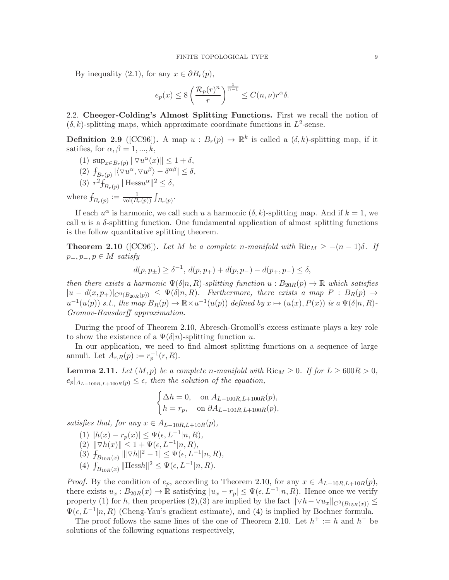<span id="page-8-2"></span>By inequality [\(2.1\)](#page-4-2), for any  $x \in \partial B_r(p)$ ,

$$
e_p(x) \le 8\left(\frac{\mathcal{R}_p(r)^n}{r}\right)^{\frac{1}{n-1}} \le C(n,\nu)r^{\alpha}\delta.
$$

2.2. Cheeger-Colding's Almost Splitting Functions. First we recall the notion of  $(\delta, k)$ -splitting maps, which approximate coordinate functions in  $L^2$ -sense.

**Definition 2.9** ([\[CC96\]](#page-21-5)). A map  $u : B_r(p) \to \mathbb{R}^k$  is called a  $(\delta, k)$ -splitting map, if it satifies, for  $\alpha, \beta = 1, ..., k$ ,

(1) 
$$
\sup_{x \in B_r(p)} \|\nabla u^{\alpha}(x)\| \le 1 + \delta,
$$

$$
(2) \ f_{B_r(p)} |\langle \nabla u^\alpha, \nabla u^\beta \rangle - \delta^{\alpha \beta}| \le \delta,
$$

(3)  $r^2 \overrightarrow{f}_{B_r(p)}$  ||Hess $u^{\alpha}$ ||<sup>2</sup>  $\leq \delta$ ,

where  $f_{B_r(p)} := \frac{1}{\text{vol}(B_r(p))} \int_{B_r(p)}$ .

If each  $u^{\alpha}$  is harmonic, we call such u a harmonic  $(\delta, k)$ -splitting map. And if  $k = 1$ , we call u is a  $\delta$ -splitting function. One fundamental application of almost splitting functions is the follow quantitative splitting theorem.

<span id="page-8-0"></span>**Theorem 2.10** ([\[CC96\]](#page-21-5)). Let M be a complete n-manifold with  $\text{Ric}_M \geq -(n-1)\delta$ . If  $p_+, p_-, p \in M$  satisfy

$$
d(p,p_{\pm}) \geq \delta^{-1},\, d(p,p_+) + d(p,p_-) - d(p_+,p_-) \leq \delta,
$$

then there exists a harmonic  $\Psi(\delta|n, R)$ -splitting function  $u : B_{20R}(p) \to \mathbb{R}$  which satisfies  $|u - d(x, p_+)|_{C^0(B_{20R}(p))} \leq \Psi(\delta | n, R)$ . Furthermore, there exists a map  $P : B_R(p) \to$  $u^{-1}(u(p))$  s.t., the map  $B_R(p) \to \mathbb{R} \times u^{-1}(u(p))$  defined by  $x \mapsto (u(x), P(x))$  is a  $\Psi(\delta | n, R)$ -Gromov-Hausdorff approximation.

During the proof of Theorem [2.10,](#page-8-0) Abresch-Gromoll's excess estimate plays a key role to show the existence of a  $\Psi(\delta|n)$ -splitting function u.

In our application, we need to find almost splitting functions on a sequence of large annuli. Let  $A_{r,R}(p) := r_p^{-1}(r,R)$ .

<span id="page-8-1"></span>**Lemma 2.11.** Let  $(M, p)$  be a complete n-manifold with  $\text{Ric}_M \geq 0$ . If for  $L \geq 600R > 0$ ,  $e_p|_{A_{L-100R,L+100R}(p)} \leq \epsilon$ , then the solution of the equation,

$$
\begin{cases} \Delta h = 0, & \text{on } A_{L-100R,L+100R}(p), \\ h = r_p, & \text{on } \partial A_{L-100R,L+100R}(p), \end{cases}
$$

satisfies that, for any  $x \in A_{L-10R,L+10R}(p)$ ,

(1)  $|h(x) - r_p(x)| \leq \Psi(\epsilon, L^{-1}|n, R),$ (2)  $\|\nabla h(x)\| \leq 1 + \Psi(\epsilon, L^{-1}|n, R),$ (3)  $f_{B_{10R}(x)} |||\nabla h||^2 - 1| \leq \Psi(\epsilon, L^{-1}|n, R),$ 

(4)  $f_{B_{10R}(x)}$  ||Hessh||<sup>2</sup> ≤  $\Psi(\epsilon, L^{-1}|n, R)$ .

*Proof.* By the condition of  $e_p$ , according to Theorem [2.10,](#page-8-0) for any  $x \in A_{L-10R,L+10R}(p)$ , there exists  $u_x : B_{20R}(x) \to \mathbb{R}$  satisfying  $|u_x - r_p| \leq \Psi(\epsilon, L^{-1}|n, R)$ . Hence once we verify property (1) for h, then properties (2),(3) are implied by the fact  $||\nabla h-\nabla u_x||_{C^0(B_{15R}(x))} \le$  $\Psi(\epsilon, L^{-1}|n, R)$  (Cheng-Yau's gradient estimate), and (4) is implied by Bochner formula.

The proof follows the same lines of the one of Theorem [2.10.](#page-8-0) Let  $h^+ := h$  and  $h^-$  be solutions of the following equations respectively,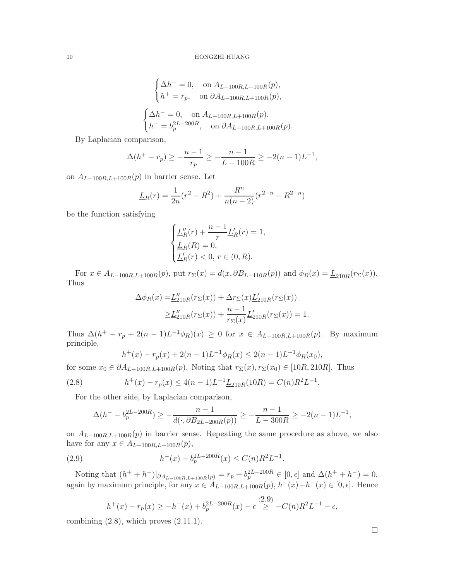$$
\begin{cases}\n\Delta h^+ = 0, & \text{on } A_{L-100R,L+100R}(p), \\
h^+ = r_p, & \text{on } \partial A_{L-100R,L+100R}(p),\n\end{cases}
$$
\n
$$
\begin{cases}\n\Delta h^- = 0, & \text{on } A_{L-100R,L+100R}(p), \\
h^- = b_p^{2L-200R}, & \text{on } \partial A_{L-100R,L+100R}(p).\n\end{cases}
$$

By Laplacian comparison,

$$
\Delta(h^+ - r_p) \ge -\frac{n-1}{r_p} \ge -\frac{n-1}{L - 100R} \ge -2(n-1)L^{-1},
$$

on  $A_{L-100R,L+100R}(p)$  in barrier sense. Let

$$
\underline{L}_R(r) = \frac{1}{2n}(r^2 - R^2) + \frac{R^n}{n(n-2)}(r^{2-n} - R^{2-n})
$$

be the function satisfying

$$
\begin{cases} \underline{L}_R''(r)+\dfrac{n-1}{r}\underline{L}_R'(r)=1,\\ \underline{L}_R(R)=0,\\ \underline{L}_R'(r)<0,\,r\in(0,R). \end{cases}
$$

For  $x \in \overline{A_{L-100R,L+100R}(p)}$ , put  $r_{\Sigma}(x) = d(x, \partial B_{L-110R}(p))$  and  $\phi_R(x) = \underline{L}_{210R}(r_{\Sigma}(x))$ . Thus

$$
\Delta \phi_R(x) = \underline{L}_{210R}''(r_{\Sigma}(x)) + \Delta r_{\Sigma}(x) \underline{L}_{210R}'(r_{\Sigma}(x))
$$
  

$$
\geq \underline{L}_{210R}''(r_{\Sigma}(x)) + \frac{n-1}{r_{\Sigma}(x)} \underline{L}_{210R}'(r_{\Sigma}(x)) = 1.
$$

Thus  $\Delta(h^+ - r_p + 2(n-1)L^{-1}\phi_R)(x) \geq 0$  for  $x \in A_{L-100R,L+100R}(p)$ . By maximum principle,

<span id="page-9-1"></span>
$$
h^+(x) - r_p(x) + 2(n-1)L^{-1}\phi_R(x) \le 2(n-1)L^{-1}\phi_R(x_0),
$$

for some  $x_0 \in \partial A_{L-100R,L+100R}(p)$ . Noting that  $r_{\Sigma}(x), r_{\Sigma}(x_0) \in [10R, 210R]$ . Thus

(2.8) 
$$
h^+(x) - r_p(x) \le 4(n-1)L^{-1} \underline{L}_{210R}(10R) = C(n)R^2L^{-1}
$$

For the other side, by Laplacian comparison,

$$
\Delta(h^{-} - b_{p}^{2L-200R}) \ge -\frac{n-1}{d(\cdot, \partial B_{2L-200R}(p))} \ge -\frac{n-1}{L-300R} \ge -2(n-1)L^{-1},
$$

on  $A_{L-100R,L+100R}(p)$  in barrier sense. Repeating the same procedure as above, we also have for any  $x \in A_{L-100R,L+100R}(p)$ ,

(2.9) 
$$
h^{-}(x) - b_p^{2L-200R}(x) \le C(n)R^2L^{-1}.
$$

Noting that  $(h^+ + h^-)|_{\partial A_{L-100R,L+100R}(p)} = r_p + b_p^{2L-200R} \in [0, \epsilon]$  and  $\Delta(h^+ + h^-) = 0$ , again by maximum principle, for any  $x \in A_{L-100R,L+100R}(p)$ ,  $h^+(x)+h^-(x) \in [0,\epsilon]$ . Hence

<span id="page-9-0"></span>
$$
h^+(x) - r_p(x) \ge -h^-(x) + b_p^{2L-200R}(x) - \epsilon \stackrel{(2.9)}{\ge} -C(n)R^2L^{-1} - \epsilon,
$$

combining  $(2.8)$ , which proves  $(2.11.1)$ .

.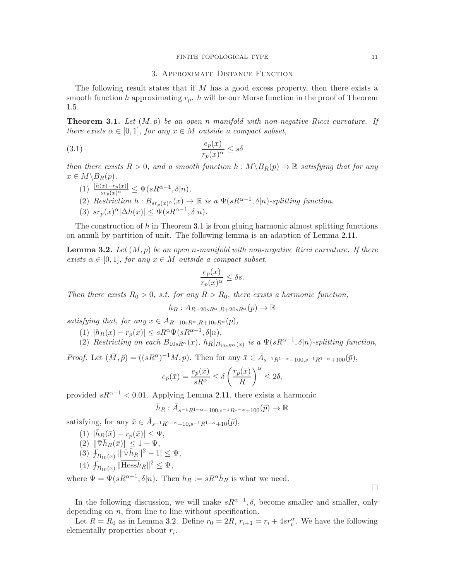#### FINITE TOPOLOGICAL TYPE 11

#### 3. Approximate Distance Function

The following result states that if  $M$  has a good excess property, then there exists a smooth function h approximating  $r_p$ . h will be our Morse function in the proof of Theorem [1.5.](#page-2-2)

<span id="page-10-0"></span>**Theorem 3.1.** Let  $(M, p)$  be an open n-manifold with non-negative Ricci curvature. If there exists  $\alpha \in [0,1]$ , for any  $x \in M$  outside a compact subset,

$$
\frac{e_p(x)}{r_p(x)^{\alpha}} \le s\delta
$$

then there exists  $R > 0$ , and a smooth function  $h : M \setminus B_R(p) \to \mathbb{R}$  satisfying that for any  $x \in M \backslash B_R(p)$ ,

- (1)  $\frac{|h(x)-r_p(x)|}{sr_p(x)^\alpha} \leq \Psi(sR^{\alpha-1},\delta|n),$ (2) Restriction  $h: B_{sr_p(x)}(x) \to \mathbb{R}$  is a  $\Psi(sR^{\alpha-1}, \delta|n)$ -splitting function.
- (3)  $sr_p(x)^{\alpha}|\Delta h(x)| \leq \Psi(sR^{\alpha-1},\delta|n).$

The construction of  $h$  in Theorem [3.1](#page-10-0) is from gluing harmonic almost splitting functions on annuli by partition of unit. The following lemma is an adaption of Lemma [2.11.](#page-8-1)

<span id="page-10-1"></span>**Lemma 3.2.** Let  $(M, p)$  be an open n-manifold with non-negative Ricci curvature. If there exists  $\alpha \in [0,1]$ , for any  $x \in M$  outside a compact subset,

$$
\frac{e_p(x)}{r_p(x)^{\alpha}} \le \delta s.
$$

Then there exists  $R_0 > 0$ , s.t. for any  $R > R_0$ , there exists a harmonic function,

 $h_R : A_{R-20sR^{\alpha}} R_{+20sR^{\alpha}}(p) \rightarrow \mathbb{R}$ 

satisfying that, for any  $x \in A_{R-10sR^{\alpha},R+10sR^{\alpha}}(p)$ ,

- (1)  $|h_R(x) r_p(x)| \le sR^{\alpha} \Psi(sR^{\alpha-1}, \delta|n),$
- (2) Restricting on each  $B_{10sR^{\alpha}}(x)$ ,  $h_R|_{B_{10sR^{\alpha}}(x)}$  is a  $\Psi(sR^{\alpha-1},\delta|n)$ -splitting function,

*Proof.* Let  $(\bar{M}, \bar{p}) = ((sR^{\alpha})^{-1}M, p)$ . Then for any  $\bar{x} \in \bar{A}_{s^{-1}R^{1-\alpha}-100,s^{-1}R^{1-\alpha}+100}(\bar{p}),$ 

$$
e_{\bar{p}}(\bar{x}) = \frac{e_p(\bar{x})}{sR^{\alpha}} \le \delta \left(\frac{r_p(\bar{x})}{R}\right)^{\alpha} \le 2\delta,
$$

provided  $sR^{\alpha-1}$  < 0.01. Applying Lemma [2.11,](#page-8-1) there exists a harmonic

$$
\bar{h}_R:\bar{A}_{s^{-1}R^{1-\alpha}-100,s^{-1}R^{1-\alpha}+100}(\bar{p})\rightarrow \mathbb{R}
$$

satisfying, for any  $\bar{x} \in \bar{A}_{s^{-1}R^{1-\alpha}-10,s^{-1}R^{1-\alpha}+10}(\bar{p}),$ 

- (1)  $|\bar{h}_R(\bar{x}) r_{\bar{p}}(\bar{x})| \leq \Psi$ ,
- $(2)$   $\|\bar{\triangledown}\bar{h}_R(\bar{x})\| \leq 1 + \Psi,$
- (3)  $\hat{f}_{B_{10}(\bar{x})} \|\nabla \bar{h}_R\|^2 1 \leq \Psi,$
- (4)  $f_{B_{10}(\bar{x})}$   $\|\overline{\text{Hess}}\bar{h}_R\|^2 \leq \Psi$ ,

where  $\Psi = \Psi(sR^{\alpha-1}, \delta|n)$ . Then  $h_R := sR^{\alpha} \bar{h}_R$  is what we need.

In the following discussion, we will make  $sR^{\alpha-1}$ ,  $\delta$ , become smaller and smaller, only depending on  $n$ , from line to line without specification.

Let  $R = R_0$  as in Lemma [3.2.](#page-10-1) Define  $r_0 = 2R$ ,  $r_{i+1} = r_i + 4sr_i^{\alpha}$ . We have the following elementally properties about  $r_i$ .

 $\Box$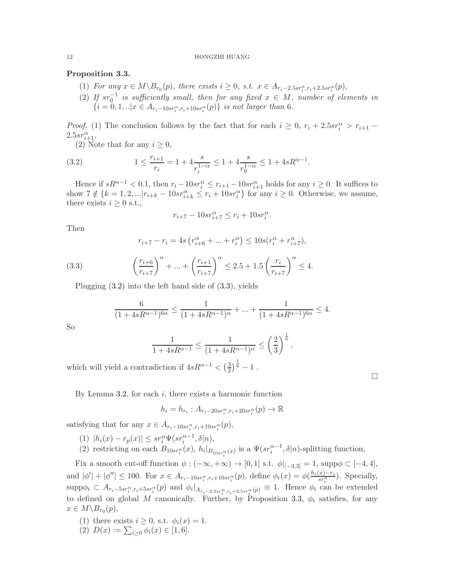## <span id="page-11-2"></span>Proposition 3.3.

- (1) For any  $x \in M \setminus B_{r_0}(p)$ , there exists  $i \geq 0$ , s.t.  $x \in A_{r_i-2.5sr_i^{\alpha}, r_i+2.5sr_i^{\alpha}}(p)$ ,
- (2) If  $sr_0^{-1}$  is sufficiently small, then for any fixed  $x \in M$ , number of elements in  $\{i=0,1,..|x \in A_{r_i-10sr_i^{\alpha},r_i+10sr_i^{\alpha}}(p)\}\$ is not larger than 6.

*Proof.* (1) The conclusion follows by the fact that for each  $i \geq 0$ ,  $r_i + 2.5sr_i^{\alpha} > r_{i+1}$  $2.5sr_{i+1}^{\alpha}$ .

<span id="page-11-0"></span>(2) Note that for any  $i \geq 0$ ,

(3.2) 
$$
1 \le \frac{r_{i+1}}{r_i} = 1 + 4 \frac{s}{r_i^{1-\alpha}} \le 1 + 4 \frac{s}{r_0^{1-\alpha}} \le 1 + 4sR^{\alpha-1}.
$$

Hence if  $sR^{\alpha-1} < 0.1$ , then  $r_i - 10sr_i^{\alpha} \le r_{i+1} - 10sr_{i+1}^{\alpha}$  holds for any  $i \ge 0$ . It suffices to show  $7 \notin \{k = 1, 2, \ldots | r_{i+k} - 10sr_{i+k}^{\alpha} \leq r_i + 10sr_i^{\alpha} \}$  for any  $i \geq 0$ . Otherwise, we assume, there exists  $i \geq 0$  s.t.,

$$
r_{i+7} - 10sr_{i+7}^{\alpha} \le r_i + 10sr_i^{\alpha}.
$$

Then

<span id="page-11-1"></span>
$$
r_{i+7} - r_i = 4s \left( r_{i+6}^{\alpha} + \dots + r_i^{\alpha} \right) \le 10s (r_i^{\alpha} + r_{i+7}^{\alpha}),
$$

(3.3) 
$$
\left(\frac{r_{i+6}}{r_{i+7}}\right)^{\alpha} + ... + \left(\frac{r_{i+1}}{r_{i+7}}\right)^{\alpha} \le 2.5 + 1.5 \left(\frac{r_i}{r_{i+7}}\right)^{\alpha} \le 4.
$$

Plugging [\(3.2\)](#page-11-0) into the left hand side of [\(3.3\)](#page-11-1), yields

$$
\frac{6}{(1+4sR^{\alpha-1})^{6\alpha}} \le \frac{1}{(1+4sR^{\alpha-1})^{\alpha}} + ... + \frac{1}{(1+4sR^{\alpha-1})^{6\alpha}} \le 4.
$$

So

$$
\frac{1}{1 + 4sR^{\alpha - 1}} \le \frac{1}{(1 + 4sR^{\alpha - 1})^{\alpha}} \le \left(\frac{2}{3}\right)^{\frac{1}{6}},
$$

which will yield a contradiction if  $4sR^{\alpha-1} < \left(\frac{3}{2}\right)$  $\frac{3}{2}$  $\frac{1}{6}$  - 1.

By Lemma [3.2,](#page-10-1) for each  $i$ , there exists a harmonic function

$$
h_i = h_{r_i} : A_{r_i - 20sr_i^{\alpha}, r_i + 20sr_i^{\alpha}}(p) \to \mathbb{R}
$$

satisfying that for any  $x \in A_{r_i-10sr_i^{\alpha},r_i+10sr_i^{\alpha}}(p)$ ,

- (1)  $|h_i(x) r_p(x)| \leq s r_i^{\alpha} \Psi(s r_i^{\alpha-1}, \delta | n),$
- (2) restricting on each  $B_{10sr_i^{\alpha}}(x)$ ,  $h_i|_{B_{10sr_i^{\alpha}}(x)}$  is a  $\Psi(sr_i^{\alpha-1}, \delta|n)$ -splitting function,

Fix a smooth cut-off function  $\phi: (-\infty, +\infty) \to [0, 1]$  s.t.  $\phi|_{[-3,3]} = 1$ , supp $\phi \subset [-4, 4]$ , and  $|\phi'| + |\phi''| \le 100$ . For  $x \in A_{r_i-10sr_i^{\alpha}, r_i+10sr_i^{\alpha}}(p)$ , define  $\phi_i(x) = \phi(\frac{h_i(x)-r_i}{sr_i^{\alpha}})$  $\frac{x^{j-r_i}}{sr_i^{\alpha}}$ ). Specially,  $\text{supp}\phi_i \subset A_{r_i-5sr_i^{\alpha},r_i+5sr_i^{\alpha}}(p)$  and  $\phi_i|_{A_{r_i-2.5sr_i^{\alpha},r_i+2.5sr_i^{\alpha}}(p)} \equiv 1$ . Hence  $\phi_i$  can be extended to defined on global M canonically. Further, by Proposition [3.3,](#page-11-2)  $\phi_i$  satisfies, for any  $x \in M \backslash B_{r_0}(p)$ ,

- (1) there exists  $i \geq 0$ , s.t.  $\phi_i(x) = 1$ .
- (2)  $D(x) := \sum_{i \geq 0} \phi_i(x) \in [1, 6].$

 $\Box$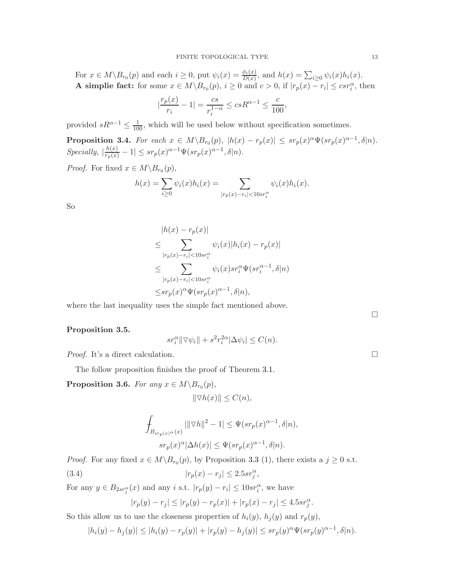For  $x \in M \backslash B_{r_0}(p)$  and each  $i \geq 0$ , put  $\psi_i(x) = \frac{\phi_i(x)}{D(x)}$ , and  $h(x) = \sum_{i \geq 0} \psi_i(x)h_i(x)$ . A simplie fact: for some  $x \in M \setminus B_{r_0}(p)$ ,  $i \ge 0$  and  $c > 0$ , if  $|r_p(x) - r_i| \le c s r_i^{\alpha}$ , then

$$
\left| \frac{r_p(x)}{r_i} - 1 \right| = \frac{cs}{r_i^{1-\alpha}} \le csR^{\alpha - 1} \le \frac{c}{100},
$$

provided  $sR^{\alpha-1} \leq \frac{1}{100}$ , which will be used below without specification sometimes.

**Proposition 3.4.** For each  $x \in M \setminus B_{r_0}(p)$ ,  $|h(x) - r_p(x)| \leq s r_p(x)^{\alpha} \Psi(s r_p(x)^{\alpha-1}, \delta | n)$ .  $\text{Specifically, } \left| \frac{h(x)}{r_p(x)} - 1 \right| \leq \text{sr}_p(x)^{\alpha - 1} \Psi(\text{sr}_p(x)^{\alpha - 1}, \delta | n).$ 

*Proof.* For fixed  $x \in M \backslash B_{r_0}(p)$ ,

$$
h(x) = \sum_{i \ge 0} \psi_i(x) h_i(x) = \sum_{|r_p(x) - r_i| < 10sr_i^{\alpha}} \psi_i(x) h_i(x).
$$

So

$$
|h(x) - r_p(x)|
$$
  
\n
$$
\leq \sum_{|r_p(x) - r_i| < 10sr_i^{\alpha}} \psi_i(x) |h_i(x) - r_p(x)|
$$
  
\n
$$
\leq \sum_{|r_p(x) - r_i| < 10sr_i^{\alpha}} \psi_i(x) sr_i^{\alpha} \Psi(sr_i^{\alpha-1}, \delta|n)
$$
  
\n
$$
\leq sr_p(x)^{\alpha} \Psi(sr_p(x)^{\alpha-1}, \delta|n),
$$

where the last inequality uses the simple fact mentioned above.

<span id="page-12-0"></span>Proposition 3.5.

$$
sr_i^{\alpha} \|\nabla \psi_i\| + s^2 r_i^{2\alpha} |\Delta \psi_i| \le C(n).
$$

*Proof.* It's a direct calculation.  $\Box$ 

The follow proposition finishes the proof of Theorem [3.1.](#page-10-0)

**Proposition 3.6.** For any  $x \in M \backslash B_{r_0}(p)$ ,

$$
\|\nabla h(x)\| \le C(n),
$$

$$
\begin{aligned} \int_{B_{sr_p(x)^\alpha}(x)} |||\nabla h||^2 - 1| &\leq \Psi(sr_p(x)^{\alpha-1},\delta|n),\\ s r_p(x)^\alpha|\Delta h(x)| &\leq \Psi(sr_p(x)^{\alpha-1},\delta|n). \end{aligned}
$$

*Proof.* For any fixed  $x \in M \backslash B_{r_0}(p)$ , by Proposition [3.3](#page-11-2) (1), there exists a  $j \geq 0$  s.t. (3.4)  $|r_p(x) - r_j| \leq 2.5sr_j^{\alpha}$ 

For any  $y \in B_{2sr_j^{\alpha}}(x)$  and any i s.t.  $|r_p(y) - r_i| \leq 10sr_i^{\alpha}$ , we have

<span id="page-12-1"></span>
$$
|r_p(y) - r_j| \le |r_p(y) - r_p(x)| + |r_p(x) - r_j| \le 4.5sr_j^{\alpha}.
$$

So this allow us to use the closeness properties of  $h_i(y)$ ,  $h_j(y)$  and  $r_p(y)$ ,

$$
|h_i(y) - h_j(y)| \le |h_i(y) - r_p(y)| + |r_p(y) - h_j(y)| \le sr_p(y)^{\alpha} \Psi(sr_p(y)^{\alpha-1}, \delta|n).
$$

 $\Box$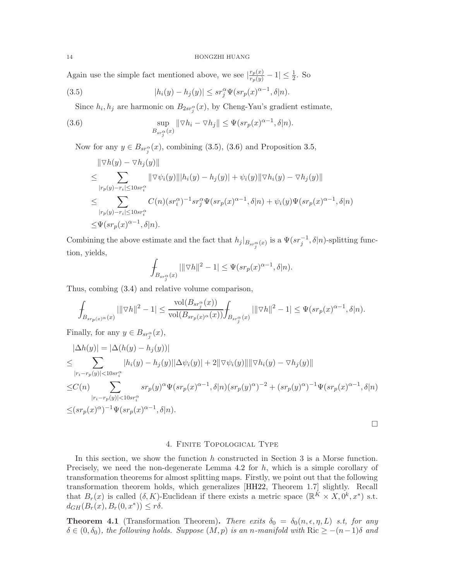<span id="page-13-3"></span>Again use the simple fact mentioned above, we see  $\left|\frac{r_p(x)}{r_p(y)}-1\right| \leq \frac{1}{2}$ . So

(3.5) 
$$
|h_i(y) - h_j(y)| \le s r_j^{\alpha} \Psi(s r_p(x)^{\alpha - 1}, \delta | n).
$$

<span id="page-13-1"></span>Since  $h_i, h_j$  are harmonic on  $B_{2sr_j^{\alpha}}(x)$ , by Cheng-Yau's gradient estimate,

(3.6) 
$$
\sup_{B_{sr_j^{\alpha}}(x)} \|\nabla h_i - \nabla h_j\| \leq \Psi(sr_p(x)^{\alpha-1}, \delta|n).
$$

Now for any  $y \in B_{sr_j^{\alpha}}(x)$ , combining [\(3.5\)](#page-13-1), [\(3.6\)](#page-13-2) and Proposition [3.5,](#page-12-0)

<span id="page-13-2"></span>
$$
\|\nabla h(y) - \nabla h_j(y)\|
$$
  
\n
$$
\leq \sum_{|r_p(y)-r_i|\leq 10sr_i^{\alpha}} \|\nabla \psi_i(y)\| |h_i(y) - h_j(y)| + \psi_i(y) \|\nabla h_i(y) - \nabla h_j(y)\|
$$
  
\n
$$
\leq \sum_{|r_p(y)-r_i|\leq 10sr_i^{\alpha}} C(n)(sr_i^{\alpha})^{-1} sr_j^{\alpha} \Psi(sr_p(x)^{\alpha-1}, \delta|n) + \psi_i(y) \Psi(sr_p(x)^{\alpha-1}, \delta|n)
$$
  
\n
$$
\leq \Psi(sr_p(x)^{\alpha-1}, \delta|n).
$$

Combining the above estimate and the fact that  $h_j|_{B_{sr_j^{\alpha}}(x)}$  is a  $\Psi(sr_j^{-1}, \delta|n)$ -splitting function, yields,

$$
\int_{B_{sr_j^{\alpha}}(x)} |||\nabla h||^2 - 1| \leq \Psi(sr_p(x)^{\alpha - 1}, \delta |n).
$$

Thus, combing [\(3.4\)](#page-12-1) and relative volume comparison,

$$
\int_{B_{sr_p(x)}(x)} |||\nabla h||^2 - 1| \le \frac{\text{vol}(B_{sr_f^{\alpha}}(x))}{\text{vol}(B_{sr_p(x)^{\alpha}}(x))} \int_{B_{sr_f^{\alpha}}(x)} |||\nabla h||^2 - 1| \le \Psi(sr_p(x)^{\alpha - 1}, \delta | n).
$$

Finally, for any  $y \in B_{sr_j^{\alpha}}(x)$ ,

$$
|\Delta h(y)| = |\Delta(h(y) - h_j(y))|
$$
  
\n
$$
\leq \sum_{|r_i - r_p(y)| < 10sr_i^{\alpha}} |h_i(y) - h_j(y)| |\Delta \psi_i(y)| + 2||\nabla \psi_i(y)|| ||\nabla h_i(y) - \nabla h_j(y)||
$$
  
\n
$$
\leq C(n) \sum_{|r_i - r_p(y)| < 10sr_i^{\alpha}} sr_p(y)^{\alpha} \Psi(sr_p(x)^{\alpha-1}, \delta|n) (sr_p(y)^{\alpha})^{-2} + (sr_p(y)^{\alpha})^{-1} \Psi(sr_p(x)^{\alpha-1}, \delta|n)
$$
  
\n
$$
\leq (sr_p(x)^{\alpha})^{-1} \Psi(sr_p(x)^{\alpha-1}, \delta|n).
$$

# 4. Finite Topological Type

In this section, we show the function  $h$  constructed in Section 3 is a Morse function. Precisely, we need the non-degenerate Lemma [4.2](#page-14-0) for h, which is a simple corollary of transformation theorems for almost splitting maps. Firstly, we point out that the following transformation theorem holds, which generalizes [\[HH22,](#page-22-6) Theorem 1.7] slightly. Recall that  $B_r(x)$  is called  $(\delta, K)$ -Euclidean if there exists a metric space  $(\mathbb{R}^K \times X, 0^k, x^*)$  s.t.  $d_{GH}(B_r(x), B_r(0, x^*)) \leq r\delta.$ 

<span id="page-13-0"></span>**Theorem 4.1** (Transformation Theorem). There exits  $\delta_0 = \delta_0(n, \epsilon, \eta, L)$  s.t, for any  $\delta \in (0, \delta_0)$ , the following holds. Suppose  $(M, p)$  is an n-manifold with Ric  $\geq -(n-1)\delta$  and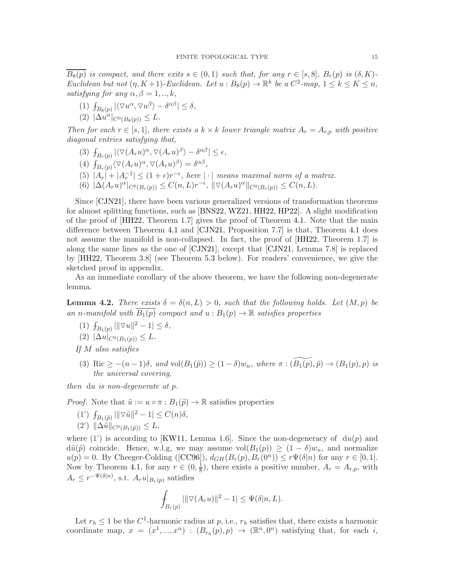<span id="page-14-1"></span> $\overline{B_8(p)}$  is compact, and there exits  $s \in (0,1)$  such that, for any  $r \in [s,8]$ ,  $B_r(p)$  is  $(\delta,K)$ -Euclidean but not  $(\eta, K+1)$ -Euclidean. Let  $u : B_8(p) \to \mathbb{R}^k$  be a  $C^2$ -map,  $1 \leq k \leq K \leq n$ , satisfying for any  $\alpha, \beta = 1, ..., k$ ,

- (1)  $\int_{B_8(p)} |\langle \nabla u^\alpha, \nabla u^\beta \rangle \delta^{\alpha \beta}| \le \delta,$
- (2)  $|\Delta u^{\alpha}|_{C^{0}(B_{8}(p))} \leq L.$

Then for each  $r \in [s, 1]$ , there exists a  $k \times k$  lower triangle matrix  $A_r = A_{r,p}$  with positive diagonal entries satisfying that,

(3)  $\int_{B_r(p)} |\langle \nabla (A_ru)^{\alpha}, \nabla (A_ru)^{\beta} \rangle - \delta^{\alpha\beta}| \leq \epsilon,$ 

(4) 
$$
f_{B_r(p)}\langle \nabla (A_ru)^{\alpha}, \nabla (A_ru)^{\beta}\rangle = \delta^{\alpha\beta}
$$
,

- (5)  $|A_r| + |A_r^{-1}| \leq (1+\epsilon)r^{-\epsilon}$ , here  $|\cdot|$  means maximal norm of a matrix.
- (6)  $|\Delta(A_r u)^\alpha|_{C^0(B_r(p))} \leq C(n,L)r^{-\epsilon}, \|\nabla(A_r u)^\alpha\|_{C^0(B_r(p))} \leq C(n,L).$

Since [\[CJN21\]](#page-21-6), there have been various generalized versions of transformation theorems for almost splitting functions, such as [\[BNS22,](#page-21-7) [WZ21,](#page-22-18) [HH22,](#page-22-6) [HP22\]](#page-22-19). A slight modification of the proof of [\[HH22,](#page-22-6) Theorem 1.7] gives the proof of Theorem [4.1.](#page-13-0) Note that the main difference between Theorem [4.1](#page-13-0) and [\[CJN21,](#page-21-6) Proposition 7.7] is that, Theorem [4.1](#page-13-0) does not assume the manifold is non-collapsed. In fact, the proof of  $[HH22,$  Theorem 1.7 is along the same lines as the one of [\[CJN21\]](#page-21-6), except that [\[CJN21,](#page-21-6) Lemma 7.8] is replaced by [\[HH22,](#page-22-6) Theorem 3.8] (see Theorem [5.3](#page-20-0) below). For readers' convenience, we give the sketched proof in appendix.

As an immediate corollary of the above theorem, we have the following non-degenerate lemma.

<span id="page-14-0"></span>**Lemma 4.2.** There exists  $\delta = \delta(n, L) > 0$ , such that the following holds. Let  $(M, p)$  be an n-manifold with  $B_1(p)$  compact and  $u : B_1(p) \to \mathbb{R}$  satisfies properties

- (1)  $f_{B_1(p)} |||\nabla u||^2 1| \le \delta$ ,  $(2)$   $|\Delta u|_{C^{0}(B_{1}(p))} \leq L.$
- 
- If M also satisfies
- (3) Ric  $\geq -(n-1)\delta$ , and vol $(B_1(\tilde{p})) \geq (1-\delta)w_n$ , where  $\pi : (B_1(\tilde{p}), \tilde{p}) \rightarrow (B_1(p), p)$  is the universal covering,

then du is non-degenerate at p.

*Proof.* Note that  $\tilde{u} := u \circ \pi : B_1(\tilde{p}) \to \mathbb{R}$  satisfies properties

(1')  $f_{B_1(\tilde{p})} \|\nabla \tilde{u}\|^2 - 1 \leq C(n)\delta,$  $(2') \|\Delta \tilde{u}\|_{C^0(B_1(\tilde{p}))} \leq L,$ 

where (1') is according to [\[KW11,](#page-22-20) Lemma 1.6]. Since the non-degeneracy of  $du(p)$  and  $d\tilde{u}(\tilde{p})$  coincide. Hence, w.l.g, we may assume  $vol(B_1(p)) \geq (1-\delta)w_n$ , and normalize  $u(p) = 0$ . By Cheeger-Colding ([\[CC96\]](#page-21-5)),  $d_{GH}(B_r(p), B_r(0^n)) \leq r\Psi(\delta|n)$  for any  $r \in [0, 1]$ . Now by Theorem [4.1,](#page-13-0) for any  $r \in (0, \frac{1}{8})$  $\frac{1}{8}$ , there exists a positive number,  $A_r = A_{r,p}$ , with  $A_r \leq r^{-\Psi(\delta|n)}$ , s.t.  $A_ru|_{B_r(p)}$  satisfies

$$
\int_{B_r(p)} |||\nabla (A_ru)||^2 - 1| \leq \Psi(\delta|n,L).
$$

Let  $r_h \leq 1$  be the  $C^1$ -harmonic radius at p, i.e.,  $r_h$  satisfies that, there exists a harmonic coordinate map,  $x = (x^1, ..., x^n) : (B_{r_h}(p), p) \to (\mathbb{R}^n, 0^n)$  satisfying that, for each i,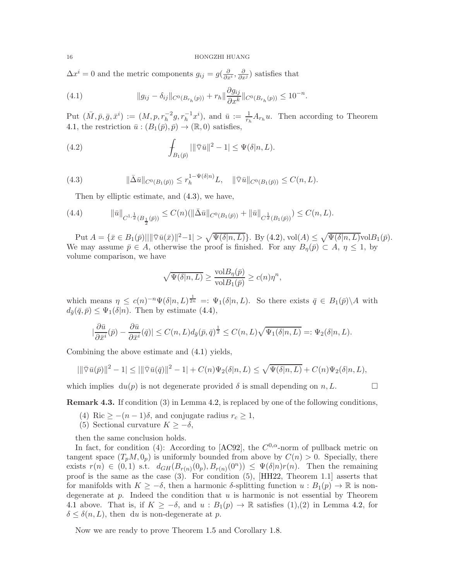<span id="page-15-5"></span> $\Delta x^i = 0$  and the metric components  $g_{ij} = g(\frac{\partial}{\partial x^i}, \frac{\partial}{\partial x^j})$  satisfies that

<span id="page-15-3"></span>(4.1) 
$$
||g_{ij} - \delta_{ij}||_{C^0(B_{r_h}(p))} + r_h||\frac{\partial g_{ij}}{\partial x^k}||_{C^0(B_{r_h}(p))} \leq 10^{-n}.
$$

Put  $(\bar{M}, \bar{p}, \bar{g}, \bar{x}^i) := (M, p, r_h^{-2}g, r_h^{-1}x^i)$ , and  $\bar{u} := \frac{1}{r_h}A_{r_h}u$ . Then according to Theorem [4.1,](#page-13-0) the restriction  $\bar{u}$  :  $(B_1(\bar{p}), \bar{p}) \rightarrow (\mathbb{R}, 0)$  satisfies,

<span id="page-15-1"></span>(4.2) 
$$
\int_{B_1(\bar{p})} |||\bar{\nabla}\bar{u}||^2 - 1| \leq \Psi(\delta|n, L).
$$

(4.3) 
$$
\|\bar{\Delta}\bar{u}\|_{C^0(B_1(\bar{p}))} \leq r_h^{1-\Psi(\delta|n)} L, \quad \|\bar{\nabla}\bar{u}\|_{C^0(B_1(\bar{p}))} \leq C(n,L).
$$

<span id="page-15-2"></span><span id="page-15-0"></span>Then by elliptic estimate, and [\(4.3\)](#page-15-0), we have,

(4.4) 
$$
\|\bar{u}\|_{C^{1,\frac{1}{2}}(B_{\frac{1}{2}}(\bar{p}))} \leq C(n) \left(\|\bar{\Delta}\bar{u}\|_{C^{0}(B_{1}(\bar{p}))} + \|\bar{u}\|_{C^{\frac{1}{2}}(B_{1}(\bar{p}))}\right) \leq C(n,L).
$$

Put  $A = {\overline{x} \in B_1(\overline{p})} || \|\overline{\nabla} \overline{u}(\overline{x}) \|^2 - 1| > \sqrt{\Psi(\delta | n, L)}\}$ . By  $(4.2)$ , vol $(A) \leq \sqrt{\Psi(\delta | n, L)}$ vol $B_1(\overline{p})$ . We may assume  $\bar{p} \in A$ , otherwise the proof is finished. For any  $B_{\eta}(\bar{p}) \subset A$ ,  $\eta \leq 1$ , by volume comparison, we have

$$
\sqrt{\Psi(\delta|n, L)} \ge \frac{\text{vol}B_{\eta}(\bar{p})}{\text{vol}B_1(\bar{p})} \ge c(n)\eta^n,
$$

which means  $\eta \leq c(n)^{-n} \Psi(\delta | n, L)^{\frac{1}{2n}} =: \Psi_1(\delta | n, L)$ . So there exists  $\bar{q} \in B_1(\bar{p}) \backslash A$  with  $d_{\bar{q}}(\bar{q}, \bar{p}) \leq \Psi_1(\delta|n)$ . Then by estimate [\(4.4\)](#page-15-2),

$$
|\frac{\partial \bar{u}}{\partial \bar{x}^i}(\bar{p}) - \frac{\partial \bar{u}}{\partial \bar{x}^i}(\bar{q})| \le C(n, L) d_{\bar{g}}(\bar{p}, \bar{q})^{\frac{1}{2}} \le C(n, L)\sqrt{\Psi_1(\delta|n, L)} =: \Psi_2(\delta|n, L).
$$

Combining the above estimate and [\(4.1\)](#page-15-3) yields,

$$
|\|\overline{\nabla}\overline{u}(\overline{p})\|^2 - 1| \le |\|\overline{\nabla}\overline{u}(\overline{q})\|^2 - 1| + C(n)\Psi_2(\delta|n, L) \le \sqrt{\Psi(\delta|n, L)} + C(n)\Psi_2(\delta|n, L),
$$

which implies  $du(p)$  is not degenerate provided  $\delta$  is small depending on  $n, L$ .

<span id="page-15-4"></span>Remark 4.3. If condition (3) in Lemma [4.2,](#page-14-0) is replaced by one of the following conditions,

- (4) Ric  $\geq -(n-1)\delta$ , and conjugate radius  $r_c \geq 1$ ,
- (5) Sectional curvature  $K \geq -\delta$ ,

then the same conclusion holds.

In fact, for condition (4): According to [\[AC92\]](#page-21-8), the  $C^{0,\alpha}$ -norm of pullback metric on tangent space  $(T_pM, 0_p)$  is uniformly bounded from above by  $C(n) > 0$ . Specially, there exists  $r(n) \in (0,1)$  s.t.  $d_{GH}(B_{r(n)}(0_p), B_{r(n)}(0^n)) \leq \Psi(\delta|n)r(n)$ . Then the remaining proof is the same as the case  $(3)$ . For condition  $(5)$ , [\[HH22,](#page-22-6) Theorem 1.1] asserts that for manifolds with  $K \geq -\delta$ , then a harmonic  $\delta$ -splitting function  $u : B_1(p) \to \mathbb{R}$  is nondegenerate at  $p$ . Indeed the condition that  $u$  is harmonic is not essential by Theorem [4.1](#page-13-0) above. That is, if  $K \geq -\delta$ , and  $u : B_1(p) \to \mathbb{R}$  satisfies  $(1),(2)$  in Lemma [4.2,](#page-14-0) for  $\delta \leq \delta(n,L)$ , then du is non-degenerate at p.

Now we are ready to prove Theorem [1.5](#page-2-2) and Corollary [1.8.](#page-3-0)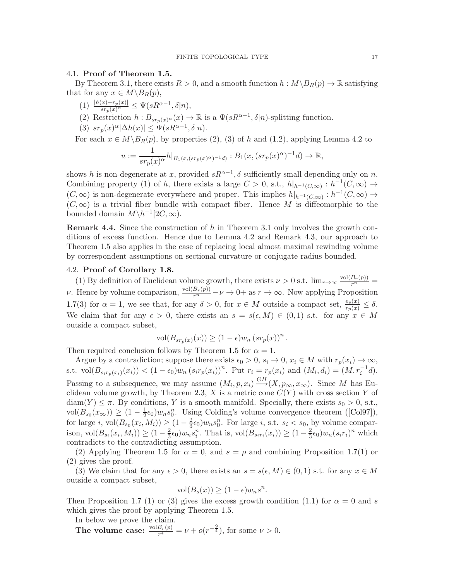## <span id="page-16-1"></span>4.1. Proof of Theorem [1.5.](#page-2-2)

By Theorem [3.1,](#page-10-0) there exists  $R > 0$ , and a smooth function  $h : M \backslash B_R(p) \to \mathbb{R}$  satisfying that for any  $x \in M \backslash B_R(p)$ ,

- $(1) \frac{|h(x)-r_p(x)|}{sr_p(x)^{\alpha}} \leq \Psi(sR^{\alpha-1},\delta|n),$
- (2) Restriction  $h: B_{sr_p(x)}(x) \to \mathbb{R}$  is a  $\Psi(sR^{\alpha-1}, \delta|n)$ -splitting function.
- (3)  $sr_p(x)^{\alpha}|\Delta h(x)| \leq \Psi(sR^{\alpha-1},\delta|n).$

For each  $x \in M \backslash B_R(p)$ , by properties (2), (3) of h and [\(1.2\)](#page-2-1), applying Lemma [4.2](#page-14-0) to

$$
u:=\frac{1}{sr_p(x)^\alpha}h|_{B_1(x,(sr_p(x)^\alpha)^{-1}d)}:B_1(x,(sr_p(x)^\alpha)^{-1}d)\rightarrow\mathbb{R},
$$

shows h is non-degenerate at x, provided  $sR^{\alpha-1}$ ,  $\delta$  sufficiently small depending only on n. Combining property (1) of h, there exists a large  $C > 0$ , s.t.,  $h|_{h^{-1}(C,\infty)} : h^{-1}(C,\infty) \to$  $(C, \infty)$  is non-degenerate everywhere and proper. This implies  $h|_{h^{-1}(C,\infty)} : h^{-1}(C,\infty) \to$  $(C, \infty)$  is a trivial fiber bundle with compact fiber. Hence M is diffeomorphic to the bounded domain  $M \backslash h^{-1}[2C, \infty)$ .

<span id="page-16-0"></span>**Remark 4.4.** Since the construction of h in Theorem [3.1](#page-10-0) only involves the growth conditions of excess function. Hence due to Lemma [4.2](#page-14-0) and Remark [4.3,](#page-15-4) our approach to Theorem [1.5](#page-2-2) also applies in the case of replacing local almost maximal rewinding volume by correspondent assumptions on sectional curvature or conjugate radius bounded.

# 4.2. Proof of Corollary [1.8.](#page-3-0)

(1) By definition of Euclidean volume growth, there exists  $\nu > 0$  s.t.  $\lim_{r \to \infty} \frac{\text{vol}(B_r(p))}{r^n}$ *ν*. Hence by volume comparison,  $\frac{\text{vol}(B_r(p))}{r^n} - \nu \to 0+$  as  $r \to \infty$ . Now applying Proposition [1.7\(](#page-2-5)3) for  $\alpha = 1$ , we see that, for any  $\delta > 0$ , for  $x \in M$  outside a compact set,  $\frac{e_p(x)}{r_p(x)} \leq \delta$ . We claim that for any  $\epsilon > 0$ , there exists an  $s = s(\epsilon, M) \in (0, 1)$  s.t. for any  $x \in M$ outside a compact subset,

$$
\text{vol}(B_{sr_p(x)}(x)) \ge (1 - \epsilon)w_n \left(sr_p(x)\right)^n.
$$

Then required conclusion follows by Theorem [1.5](#page-2-2) for  $\alpha = 1$ .

Argue by a contradiction; suppose there exists  $\epsilon_0 > 0$ ,  $s_i \to 0$ ,  $x_i \in M$  with  $r_p(x_i) \to \infty$ , s.t.  $vol(B_{s_i r_p(x_i)}(x_i)) < (1 - \epsilon_0)w_n (s_i r_p(x_i))^n$ . Put  $r_i = r_p(x_i)$  and  $(M_i, d_i) = (M, r_i^{-1}d)$ . Passing to a subsequence, we may assume  $(M_i, p, x_i) \stackrel{GH}{\longrightarrow} (X, p_{\infty}, x_{\infty})$ . Since M has Eu-clidean volume growth, by Theorem [2.3,](#page-4-3)  $X$  is a metric cone  $C(Y)$  with cross section Y of  $diam(Y) \leq \pi$ . By conditions, Y is a smooth manifold. Specially, there exists  $s_0 > 0$ , s.t.,  $vol(B_{s_0}(x_{\infty})) \geq (1 - \frac{1}{2})$  $\frac{1}{2}\epsilon_0\ w_n s_0^n$ . Using Colding's volume convergence theorem ([\[Col97\]](#page-22-21)), for large *i*,  $vol(B_{s_0}(x_i, M_i)) \geq (1 - \frac{2}{3})$  $\frac{2}{3}\epsilon_0\}_{w_ns_0^n}$ . For large *i*, s.t.  $s_i < s_0$ , by volume comparison,  $vol(B_{s_i}(x_i, M_i)) \geq (1 - \frac{2}{3})$  $\frac{2}{3}\epsilon_0\}_{w_ns_i^n}$ . That is,  $vol(B_{s_ir_i}(x_i)) \geq (1-\frac{2}{3})$  $\frac{2}{3}\epsilon_0\,w_n(s_ir_i)^n$  which contradicts to the contradicting assumption.

(2) Applying Theorem [1.5](#page-2-2) for  $\alpha = 0$ , and  $s = \rho$  and combining Proposition [1.7\(](#page-2-5)1) or (2) gives the proof.

(3) We claim that for any  $\epsilon > 0$ , there exists an  $s = s(\epsilon, M) \in (0, 1)$  s.t. for any  $x \in M$ outside a compact subset,

$$
vol(B_s(x)) \ge (1 - \epsilon)w_n s^n.
$$

Then Proposition [1.7](#page-2-5) (1) or (3) gives the excess growth condition [\(1.1\)](#page-2-4) for  $\alpha = 0$  and s which gives the proof by applying Theorem [1.5.](#page-2-2)

In below we prove the claim.

The volume case:  $\frac{\text{vol}B_r(p)}{r^4} = \nu + o(r^{-\frac{9}{4}})$ , for some  $\nu > 0$ .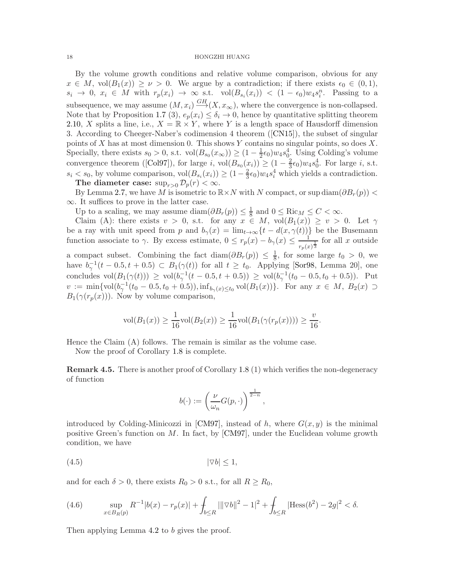<span id="page-17-0"></span>By the volume growth conditions and relative volume comparison, obvious for any  $x \in M$ , vol $(B_1(x)) \ge \nu > 0$ . We argue by a contradiction; if there exists  $\epsilon_0 \in (0,1)$ ,  $s_i \to 0, x_i \in M$  with  $r_p(x_i) \to \infty$  s.t.  $vol(B_{s_i}(x_i)) < (1 - \epsilon_0)w_4s_i^n$ . Passing to a subsequence, we may assume  $(M, x_i) \stackrel{GH}{\longrightarrow} (X, x_\infty)$ , where the convergence is non-collapsed. Note that by Proposition [1.7](#page-2-5) (3),  $e_p(x_i) \leq \delta_i \to 0$ , hence by quantitative splitting theorem [2.10,](#page-8-0) X splits a line, i.e.,  $X = \mathbb{R} \times Y$ , where Y is a length space of Hausdorff dimension 3. According to Cheeger-Naber's codimension 4 theorem ([\[CN15\]](#page-22-17)), the subset of singular points of X has at most dimension 0. This shows Y contains no singular points, so does X. Specially, there exists  $s_0 > 0$ , s.t.  $vol(B_{s_0}(x_{\infty})) \geq (1 - \frac{1}{2}\epsilon_0)w_4 s_0^4$ . Using Colding's volume convergence theorem ([\[Col97\]](#page-22-21)), for large i,  $vol(B_{s_0}(x_i)) \geq (1 - \frac{2}{3})$  $\frac{2}{3}\epsilon_0$ ) $w_4s_0^4$ . For large *i*, s.t.  $s_i < s_0$ , by volume comparison,  $vol(B_{s_i}(x_i)) \geq (1 - \frac{2}{3})$  $\frac{2}{3}\epsilon_0$ ) $w_4s_i^4$  which yields a contradiction.

The diameter case:  $\sup_{r>0} \mathcal{D}_p(r) < \infty$ .

By Lemma [2.7,](#page-5-1) we have M is isometric to  $\mathbb{R} \times N$  with N compact, or sup diam $(\partial B_r(p))$  < ∞. It suffices to prove in the latter case.

Up to a scaling, we may assume diam $(\partial B_r(p)) \leq \frac{1}{8}$  $\frac{1}{8}$  and  $0 \leq \text{Ric}_M \leq C < \infty$ .

Claim (A): there exists  $v > 0$ , s.t. for any  $x \in M$ ,  $vol(B_1(x)) \ge v > 0$ . Let  $\gamma$ be a ray with unit speed from p and  $b_{\gamma}(x) = \lim_{t \to \infty} \{t - d(x, \gamma(t))\}$  be the Busemann function associate to  $\gamma$ . By excess estimate,  $0 \leq r_p(x) - b_\gamma(x) \leq \frac{1}{\sqrt{x}}$  $\frac{1}{r_p(x)^{\frac{1}{3}}}$  for all x outside

a compact subset. Combining the fact diam $(\partial B_r(p)) \leq \frac{1}{8}$  $\frac{1}{8}$ , for some large  $t_0 > 0$ , we have  $b_{\gamma}^{-1}(t-0.5, t+0.5) \subset B_1(\gamma(t))$  for all  $t \geq t_0$ . Applying [\[Sor98,](#page-22-22) Lemma 20], one concludes  $vol(B_1(\gamma(t))) \geq vol(b_\gamma^{-1}(t-0.5,t+0.5)) \geq vol(b_\gamma^{-1}(t_0-0.5,t_0+0.5))$ . Put  $v := \min\{\text{vol}(b_\gamma^{-1}(t_0 - 0.5, t_0 + 0.5)), \inf_{b_\gamma(x)\leq t_0} \text{vol}(B_1(x))\}.$  For any  $x \in M$ ,  $B_2(x) \supset$  $B_1(\gamma(r_p(x)))$ . Now by volume comparison,

$$
vol(B_1(x)) \ge \frac{1}{16} vol(B_2(x)) \ge \frac{1}{16} vol(B_1(\gamma(r_p(x)))) \ge \frac{v}{16}.
$$

Hence the Claim (A) follows. The remain is similar as the volume case.

Now the proof of Corollary [1.8](#page-3-0) is complete.

Remark 4.5. There is another proof of Corollary [1.8](#page-3-0) (1) which verifies the non-degeneracy of function

$$
b(\cdot) := \left(\frac{\nu}{\omega_n}G(p,\cdot)\right)^{\frac{1}{2-n}},
$$

introduced by Colding-Minicozzi in [\[CM97\]](#page-21-9), instead of h, where  $G(x, y)$  is the minimal positive Green's function on M. In fact, by [\[CM97\]](#page-21-9), under the Euclidean volume growth condition, we have

$$
(4.5) \t |\nabla b| \le 1,
$$

and for each  $\delta > 0$ , there exists  $R_0 > 0$  s.t., for all  $R \ge R_0$ ,

(4.6) 
$$
\sup_{x \in B_R(p)} R^{-1}|b(x) - r_p(x)| + \int_{b \le R} |||\nabla b||^2 - 1|^2 + \int_{b \le R} |\text{Hess}(b^2) - 2g|^2 < \delta.
$$

Then applying Lemma [4.2](#page-14-0) to b gives the proof.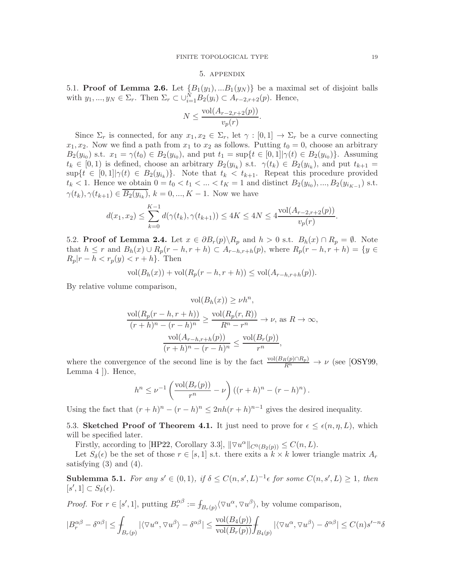#### 5. appendix

<span id="page-18-1"></span>5.1. **Proof of Lemma [2.6.](#page-5-2)** Let  ${B_1(y_1),...B_1(y_N)}$  be a maximal set of disjoint balls with  $y_1, ..., y_N \in \Sigma_r$ . Then  $\Sigma_r \subset \cup_{i=1}^N B_2(y_i) \subset A_{r-2,r+2}(p)$ . Hence,

$$
N \le \frac{\text{vol}(A_{r-2,r+2}(p))}{v_p(r)}.
$$

Since  $\Sigma_r$  is connected, for any  $x_1, x_2 \in \Sigma_r$ , let  $\gamma : [0, 1] \to \Sigma_r$  be a curve connecting  $x_1, x_2$ . Now we find a path from  $x_1$  to  $x_2$  as follows. Putting  $t_0 = 0$ , choose an arbitrary  $B_2(y_{i_0})$  s.t.  $x_1 = \gamma(t_0) \in B_2(y_{i_0})$ , and put  $t_1 = \sup\{t \in [0,1] | \gamma(t) \in B_2(y_{i_0})\}$ . Assuming  $t_k \in [0,1)$  is defined, choose an arbitrary  $B_2(y_{i_k})$  s.t.  $\gamma(t_k) \in B_2(y_{i_k})$ , and put  $t_{k+1} =$  $\sup\{t \in [0,1] | \gamma(t) \in B_2(y_{i_k})\}.$  Note that  $t_k < t_{k+1}$ . Repeat this procedure provided  $t_k < 1$ . Hence we obtain  $0 = t_0 < t_1 < ... < t_K = 1$  and distinct  $B_2(y_{i_0}), ..., B_2(y_{i_{K-1}})$  s.t.  $\gamma(t_k), \gamma(t_{k+1}) \in B_2(y_{i_k}), k = 0, ..., K - 1.$  Now we have

$$
d(x_1, x_2) \le \sum_{k=0}^{K-1} d(\gamma(t_k), \gamma(t_{k+1})) \le 4K \le 4N \le 4\frac{\text{vol}(A_{r-2, r+2}(p))}{v_p(r)}.
$$

5.2. **Proof of Lemma [2.4.](#page-4-1)** Let  $x \in \partial B_r(p) \backslash R_p$  and  $h > 0$  s.t.  $B_h(x) \cap R_p = \emptyset$ . Note that  $h \leq r$  and  $B_h(x) \cup R_p(r-h, r+h) \subset A_{r-h,r+h}(p)$ , where  $R_p(r-h, r+h) = \{y \in$  $R_p|r-h < r_p(y) < r+h$ . Then

$$
\text{vol}(B_h(x)) + \text{vol}(R_p(r-h, r+h)) \leq \text{vol}(A_{r-h,r+h}(p)).
$$

By relative volume comparison,

$$
\operatorname{vol}(B_h(x)) \ge \nu h^n,
$$
  

$$
\frac{\operatorname{vol}(R_p(r-h, r+h))}{(r+h)^n - (r-h)^n} \ge \frac{\operatorname{vol}(R_p(r, R))}{R^n - r^n} \to \nu, \text{ as } R \to \infty,
$$
  

$$
\frac{\operatorname{vol}(A_{r-h,r+h}(p))}{(r+h)^n - (r-h)^n} \le \frac{\operatorname{vol}(B_r(p))}{r^n},
$$

where the convergence of the second line is by the fact  $\frac{\text{vol}(B_R(p) \cap R_p)}{R^n} \to \nu$  (see [\[OSY99,](#page-22-16) Lemma 4 ]). Hence,

$$
h^{n} \leq \nu^{-1} \left( \frac{\text{vol}(B_{r}(p))}{r^{n}} - \nu \right) \left( (r+h)^{n} - (r-h)^{n} \right).
$$

Using the fact that  $(r+h)^n - (r-h)^n \leq 2nh(r+h)^{n-1}$  gives the desired inequality.

5.3. Sketched Proof of Theorem [4.1.](#page-13-0) It just need to prove for  $\epsilon \leq \epsilon(n, \eta, L)$ , which will be specified later.

Firstly, according to [\[HP22,](#page-22-19) Corollary 3.3],  $\|\nabla u^{\alpha}\|_{C^0(B_2(p))} \leq C(n,L)$ .

Let  $S_\delta(\epsilon)$  be the set of those  $r \in [s, 1]$  s.t. there exits a  $k \times k$  lower triangle matrix  $A_r$ satisfying  $(3)$  and  $(4)$ .

<span id="page-18-0"></span>**Sublemma 5.1.** For any  $s' \in (0,1)$ , if  $\delta \leq C(n,s',L)^{-1} \epsilon$  for some  $C(n,s',L) \geq 1$ , then  $[s', 1] \subset S_{\delta}(\epsilon).$ 

*Proof.* For  $r \in [s', 1]$ , putting  $B_r^{\alpha\beta} := f_{B_r(p)} \langle \nabla u^\alpha, \nabla u^\beta \rangle$ , by volume comparison,

$$
|B_r^{\alpha\beta}-\delta^{\alpha\beta}|\leq \int_{B_r(p)}|\langle \nabla u^\alpha,\nabla u^\beta\rangle-\delta^{\alpha\beta}|\leq \frac{\operatorname{vol}(B_4(p))}{\operatorname{vol}(B_r(p))}\int_{B_4(p)}|\langle \nabla u^\alpha,\nabla u^\beta\rangle-\delta^{\alpha\beta}|\leq C(n)s'^{-n}\delta^{\alpha\beta}.
$$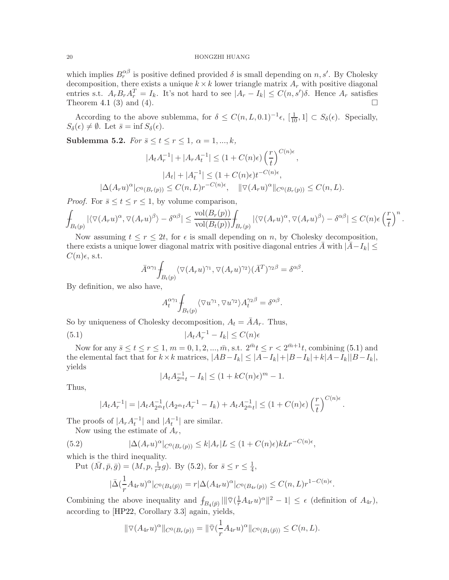<span id="page-19-3"></span>which implies  $B_r^{\alpha\beta}$  is positive defined provided  $\delta$  is small depending on n, s'. By Cholesky decomposition, there exists a unique  $k \times k$  lower triangle matrix  $A_r$  with positive diagonal entries s.t.  $A_r B_r A_r^T = I_k$ . It's not hard to see  $|A_r - I_k| \leq C(n, s')\delta$ . Hence  $A_r$  satisfies Theorem [4.1](#page-13-0) (3) and (4).

According to the above sublemma, for  $\delta \leq C(n, L, 0.1)^{-1} \epsilon$ ,  $[\frac{1}{10}, 1] \subset S_{\delta}(\epsilon)$ . Specially,  $S_{\delta}(\epsilon) \neq \emptyset$ . Let  $\bar{s} = \inf S_{\delta}(\epsilon)$ .

<span id="page-19-2"></span>Sublemma 5.2. For  $\bar{s} \leq t \leq r \leq 1$ ,  $\alpha = 1, ..., k$ ,

$$
|A_t A_r^{-1}| + |A_r A_t^{-1}| \le (1 + C(n)\epsilon) \left(\frac{r}{t}\right)^{C(n)\epsilon},
$$
  

$$
|A_t| + |A_t^{-1}| \le (1 + C(n)\epsilon) t^{-C(n)\epsilon},
$$
  

$$
|\Delta(A_r u)^\alpha|_{C^0(B_r(p))} \le C(n, L) r^{-C(n)\epsilon}, \quad ||\nabla(A_r u)^\alpha||_{C^0(B_r(p))} \le C(n, L).
$$

*Proof.* For  $\bar{s} \le t \le r \le 1$ , by volume comparison,

$$
\int_{B_t(p)} |\langle \nabla (A_ru)^\alpha, \nabla (A_ru)^\beta\rangle - \delta^{\alpha\beta}| \leq \frac{\text{vol}(B_r(p))}{\text{vol}(B_t(p))} \int_{B_r(p)} |\langle \nabla (A_ru)^\alpha, \nabla (A_ru)^\beta\rangle - \delta^{\alpha\beta}| \leq C(n)\epsilon \left(\frac{r}{t}\right)^n
$$

.

Now assuming  $t \leq r \leq 2t$ , for  $\epsilon$  is small depending on n, by Cholesky decomposition, there exists a unique lower diagonal matrix with positive diagonal entries  $\bar{A}$  with  $|\bar{A} - I_k| \leq$  $C(n)\epsilon$ , s.t.

$$
\bar{A}^{\alpha\gamma_1} \int_{B_t(p)} \langle \nabla (A_r u)^{\gamma_1}, \nabla (A_r u)^{\gamma_2} \rangle (\bar{A}^T)^{\gamma_2\beta} = \delta^{\alpha\beta}.
$$

By definition, we also have,

<span id="page-19-0"></span>
$$
A_t^{\alpha\gamma_1} \! \int_{B_t(p)} \langle \nabla u^{\gamma_1}, \nabla u^{\gamma_2} \rangle A_t^{\gamma_2 \beta} = \delta^{\alpha\beta}.
$$

So by uniqueness of Cholesky decomposition,  $A_t = \overline{A}A_r$ . Thus,

(5.1) 
$$
|A_t A_r^{-1} - I_k| \le C(n)\epsilon
$$

Now for any  $\bar{s} \le t \le r \le 1$ ,  $m = 0, 1, 2, ..., \bar{m}$ , s.t.  $2^{\bar{m}}t \le r < 2^{\bar{m}+1}t$ , combining [\(5.1\)](#page-19-0) and the elemental fact that for  $k \times k$  matrices,  $|AB-I_k| \leq |A-I_k| + |B-I_k| + k|A-I_k||B-I_k|$ , yields

$$
|A_t A_{2m}^{-1} - I_k| \le (1 + kC(n)\epsilon)^m - 1.
$$

Thus,

<span id="page-19-1"></span>
$$
|A_t A_r^{-1}| = |A_t A_{2m_t}^{-1} (A_{2m_t} A_r^{-1} - I_k) + A_t A_{2m_t}^{-1}| \leq (1 + C(n)\epsilon) \left(\frac{r}{t}\right)^{C(n)\epsilon}.
$$

The proofs of  $|A_r A_t^{-1}|$  and  $|A_t^{-1}|$  are similar.

Now using the estimate of  $A_r$ ,

(5.2) 
$$
|\Delta(A_r u)^\alpha|_{C^0(B_r(p))} \le k|A_r|L \le (1+C(n)\epsilon)kLr^{-C(n)\epsilon},
$$

which is the third inequality.

Put 
$$
(\bar{M}, \bar{p}, \bar{g}) = (M, p, \frac{1}{r^2}g)
$$
. By (5.2), for  $\bar{s} \le r \le \frac{1}{4}$ ,  

$$
|\bar{\Delta}(\frac{1}{r}A_{4r}u)^{\alpha}|_{C^0(B_4(\bar{p}))} = r|\Delta(A_{4r}u)^{\alpha}|_{C^0(B_{4r}(p))} \le C(n, L)r^{1-C(n)\epsilon}.
$$

Combining the above inequality and  $f_{B_4(\bar{p})} \|\nabla (\frac{1}{r} A_{4r} u)^{\alpha}\|^2 - 1 \leq \epsilon$  (definition of  $A_{4r}$ ), according to [\[HP22,](#page-22-19) Corollary 3.3] again, yields,

$$
\|\nabla (A_{4r}u)^{\alpha}\|_{C^0(B_r(p))} = \|\bar{\nabla} (\frac{1}{r}A_{4r}u)^{\alpha}\|_{C^0(B_1(\bar{p}))} \leq C(n,L).
$$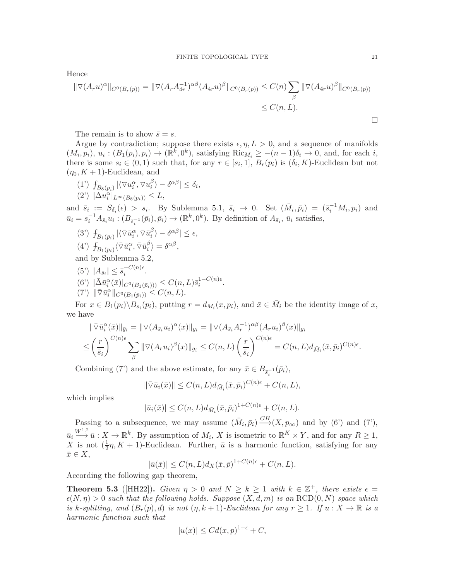<span id="page-20-1"></span>Hence

$$
\|\nabla (A_r u)^\alpha\|_{C^0(B_r(p))} = \|\nabla (A_r A_{4r}^{-1})^{\alpha\beta} (A_{4r} u)^\beta\|_{C^0(B_r(p))} \le C(n) \sum_\beta \|\nabla (A_{4r} u)^\beta\|_{C^0(B_r(p))}
$$
  

$$
\le C(n, L).
$$

The remain is to show  $\bar{s} = s$ .

Argue by contradiction; suppose there exists  $\epsilon, \eta, L > 0$ , and a sequence of manifolds  $(M_i, p_i), u_i : (B_1(p_i), p_i) \to (\mathbb{R}^k, 0^k)$ , satisfying  $\text{Ric}_{M_i} \ge -(n-1)\delta_i \to 0$ , and, for each i, there is some  $s_i \in (0,1)$  such that, for any  $r \in [s_i,1], B_r(p_i)$  is  $(\delta_i, K)$ -Euclidean but not  $(\eta_0, K+1)$ -Euclidean, and

(1')  $\int_{B_8(p_i)} |\langle \nabla u_i^{\alpha}, \nabla u_i^{\beta} \rangle|$  $\left|\frac{\beta}{i}\right\rangle - \delta^{\alpha\beta} \left| \leq \delta_i, \right.$  $(2^{\prime})$   $|\Delta u_i^{\alpha}|_{L^{\infty}(B_8(p_i))} \leq L,$ 

and  $\bar{s}_i := S_{\delta_i}(\epsilon) > s_i$ . By Sublemma [5.1,](#page-18-0)  $\bar{s}_i \to 0$ . Set  $(\bar{M}_i, \bar{p}_i) = (\bar{s}_i^{-1}M_i, p_i)$  and  $\bar{u}_i = s_i^{-1} A_{\bar{s}_i} u_i : (B_{\bar{s}_i^{-1}}(\bar{p}_i), \bar{p}_i) \to (\mathbb{R}^k, 0^k)$ . By definition of  $A_{\bar{s}_i}$ ,  $\bar{u}_i$  satisfies,

- $(3')\,\int_{B_1(\bar p_i)}|\langle\bar\triangledown \bar u_i^\alpha, \bar\triangledown \bar u_i^\beta$  $\left|\frac{\beta}{i}\right\rangle - \delta^{\alpha\beta} \right| \leq \epsilon,$
- $(4')$   $\int_{B_1(\bar{p}_i)} \langle \bar{\nabla} \bar{u}_i^{\alpha}, \bar{\nabla} \bar{u}_i^{\beta}$  $\binom{\beta}{i} = \delta^{\alpha\beta},$

and by Sublemma [5.2,](#page-19-2)

- $(5') |A_{\bar{s}_i}| \leq \bar{s}_i^{-C(n)\epsilon}$  $e^{\frac{-C}{i}(\mu)\epsilon}$ .
- $(6') \ |\bar{\Delta} \bar{u}_i^{\alpha}(\bar{x})|_{C^0(B_1(\bar{p}_i)))} \leq C(n,L)\bar{s}_i^{1-C(n)\epsilon}$  $\frac{1-C(n)\epsilon}{i}$ .
- $(7') \|\overline{\nabla} \bar{u}_i^{\alpha}\|_{C^0(B_1(\bar{p}_i))} \leq C(n,L).$

For  $x \in B_1(p_i) \backslash B_{\bar{s}_i}(p_i)$ , putting  $r = d_{M_i}(x, p_i)$ , and  $\bar{x} \in \bar{M}_i$  be the identity image of x, we have

$$
\begin{split} \|\bar{\nabla}\bar{u}_{i}^{\alpha}(\bar{x})\|_{\bar{g}_{i}} &= \|\nabla (A_{\bar{s}_{i}}u_{i})^{\alpha}(x)\|_{g_{i}} = \|\nabla (A_{\bar{s}_{i}}A_{r}^{-1})^{\alpha\beta}(A_{r}u_{i})^{\beta}(x)\|_{g_{i}} \\ &\leq \left(\frac{r}{\bar{s}_{i}}\right)^{C(n)\epsilon} \sum_{\beta} \|\nabla (A_{r}u_{i})^{\beta}(x)\|_{g_{i}} \leq C(n,L) \left(\frac{r}{\bar{s}_{i}}\right)^{C(n)\epsilon} = C(n,L) d_{\bar{M}_{i}}(\bar{x},\bar{p}_{i})^{C(n)\epsilon} .\end{split}
$$

Combining (7') and the above estimate, for any  $\bar{x} \in B_{\bar{s}_i^{-1}}(\bar{p}_i)$ ,

$$
\|\overline{\nabla}\overline{u}_i(\overline{x})\| \le C(n,L)d_{\overline{M}_i}(\overline{x},\overline{p}_i)^{C(n)\epsilon} + C(n,L),
$$

which implies

$$
|\bar{u}_i(\bar{x})| \le C(n, L) d_{\bar{M}_i}(\bar{x}, \bar{p}_i)^{1+C(n)\epsilon} + C(n, L).
$$

Passing to a subsequence, we may assume  $(\bar{M}_i, \bar{p}_i) \stackrel{GH}{\longrightarrow} (X, p_{\infty})$  and by (6') and (7'),  $\bar{u}_i \stackrel{W^{1,2}}{\longrightarrow} \bar{u}: X \to \mathbb{R}^k$ . By assumption of  $M_i$ , X is isometric to  $\mathbb{R}^K \times Y$ , and for any  $R \ge 1$ , X is not  $(\frac{1}{2}\eta, K + 1)$ -Euclidean. Further,  $\bar{u}$  is a harmonic function, satisfying for any  $\bar{x} \in X$ ,

$$
|\bar{u}(\bar{x})| \le C(n, L)d_X(\bar{x}, \bar{p})^{1+C(n)\epsilon} + C(n, L).
$$

According the following gap theorem,

<span id="page-20-0"></span>**Theorem 5.3** ([\[HH22\]](#page-22-6)). Given  $\eta > 0$  and  $N \ge k \ge 1$  with  $k \in \mathbb{Z}^+$ , there exists  $\epsilon =$  $\epsilon(N, \eta) > 0$  such that the following holds. Suppose  $(X, d, m)$  is an RCD(0, N) space which is k-splitting, and  $(B_r(p), d)$  is not  $(\eta, k+1)$ -Euclidean for any  $r \geq 1$ . If  $u : X \to \mathbb{R}$  is a harmonic function such that

$$
|u(x)| \leq C d(x, p)^{1+\epsilon} + C,
$$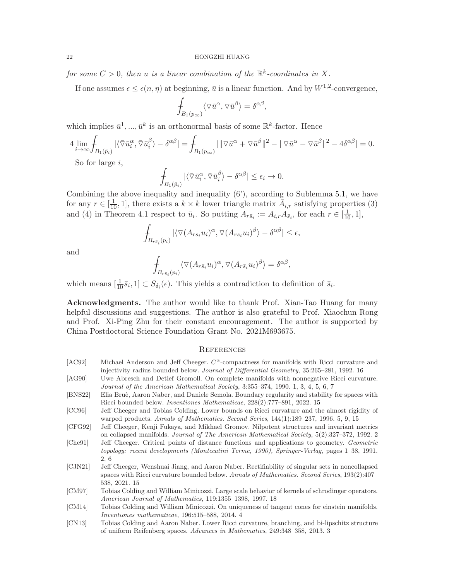for some  $C > 0$ , then u is a linear combination of the  $\mathbb{R}^k$ -coordinates in X.

If one assumes  $\epsilon \leq \epsilon(n, \eta)$  at beginning,  $\bar{u}$  is a linear function. And by  $W^{1,2}$ -convergence,

,

$$
\int_{B_1(p_\infty)} \langle \nabla \bar{u}^\alpha, \nabla \bar{u}^\beta \rangle = \delta^{\alpha \beta}
$$

which implies  $\bar{u}^1, ..., \bar{u}^k$  is an orthonormal basis of some  $\mathbb{R}^k$ -factor. Hence

$$
4\lim_{i\to\infty}\int_{B_1(\bar{p}_i)}|\langle\bar{\nabla}\bar{u}_i^{\alpha},\bar{\nabla}\bar{u}_i^{\beta}\rangle-\delta^{\alpha\beta}|=\int_{B_1(p_\infty)}|\|\nabla\bar{u}^{\alpha}+\nabla\bar{u}^{\beta}\|^2-\|\nabla\bar{u}^{\alpha}-\nabla\bar{u}^{\beta}\|^2-4\delta^{\alpha\beta}|=0.
$$

So for large  $i$ ,

$$
\int_{B_1(\bar{p}_i)} |\langle \bar{\nabla} \bar{u}_i^{\alpha}, \bar{\nabla} \bar{u}_i^{\beta} \rangle - \delta^{\alpha \beta}| \le \epsilon_i \to 0.
$$

Combining the above inequality and inequality (6'), according to Sublemma [5.1,](#page-18-0) we have for any  $r \in [\frac{1}{10}, 1]$ , there exists a  $k \times k$  lower triangle matrix  $\bar{A}_{i,r}$  satisfying properties (3) and (4) in Theorem [4.1](#page-13-0) respect to  $\bar{u}_i$ . So putting  $A_{r\bar{s}_i} := A_{i,r}A_{\bar{s}_i}$ , for each  $r \in [\frac{1}{10}, 1]$ ,

$$
\int_{B_{r\bar{s}_i}(p_i)} |\langle \nabla (A_{r\bar{s}_i} u_i)^\alpha, \nabla (A_{r\bar{s}_i} u_i)^\beta \rangle - \delta^{\alpha\beta}| \le \epsilon,
$$

and

$$
\int_{B_{r\bar{s}_i}(p_i)} \langle \nabla (A_{r\bar{s}_i}u_i)^{\alpha}, \nabla (A_{r\bar{s}_i}u_i)^{\beta} \rangle = \delta^{\alpha\beta},
$$

which means  $[\frac{1}{10}\overline{s}_i, 1] \subset S_{\delta_i}(\epsilon)$ . This yields a contradiction to definition of  $\overline{s}_i$ .

Acknowledgments. The author would like to thank Prof. Xian-Tao Huang for many helpful discussions and suggestions. The author is also grateful to Prof. Xiaochun Rong and Prof. Xi-Ping Zhu for their constant encouragement. The author is supported by China Postdoctoral Science Foundation Grant No. 2021M693675.

#### **REFERENCES**

- <span id="page-21-8"></span>[AC92] Michael Anderson and Jeff Cheeger.  $C^{\alpha}$ -compactness for manifolds with Ricci curvature and injectivity radius bounded below. Journal of Differential Geometry, 35:265–281, 1992. [16](#page-15-5)
- <span id="page-21-0"></span>[AG90] Uwe Abresch and Detlef Gromoll. On complete manifolds with nonnegative Ricci curvature. Journal of the American Mathematical Society, 3:355–374, 1990. [1,](#page-0-1) [3,](#page-2-6) [4,](#page-3-1) [5,](#page-4-4) [6,](#page-5-5) [7](#page-6-4)
- <span id="page-21-7"></span>[BNS22] Elia Bruè, Aaron Naber, and Daniele Semola. Boundary regularity and stability for spaces with Ricci bounded below. Inventiones Mathematicae, 228(2):777–891, 2022. [15](#page-14-1)
- <span id="page-21-5"></span>[CC96] Jeff Cheeger and Tobias Colding. Lower bounds on Ricci curvature and the almost rigidity of warped products. Annals of Mathematics. Second Series, 144(1):189–237, 1996. [5,](#page-4-4) [9,](#page-8-2) [15](#page-14-1)
- <span id="page-21-2"></span>[CFG92] Jeff Cheeger, Kenji Fukaya, and Mikhael Gromov. Nilpotent structures and invariant metrics on collapsed manifolds. Journal of The American Mathematical Society, 5(2):327–372, 1992. [2](#page-1-0)
- <span id="page-21-1"></span>[Che91] Jeff Cheeger. Critical points of distance functions and applications to geometry. Geometric topology: recent developments (Montecatini Terme, 1990), Springer-Verlag, pages 1–38, 1991. [2,](#page-1-0) [6](#page-5-5)
- <span id="page-21-6"></span>[CJN21] Jeff Cheeger, Wenshuai Jiang, and Aaron Naber. Rectifiability of singular sets in noncollapsed spaces with Ricci curvature bounded below. Annals of Mathematics. Second Series, 193(2):407-538, 2021. [15](#page-14-1)
- <span id="page-21-9"></span>[CM97] Tobias Colding and William Minicozzi. Large scale behavior of kernels of schrodinger operators. American Journal of Mathematics, 119:1355–1398, 1997. [18](#page-17-0)
- <span id="page-21-4"></span>[CM14] Tobias Colding and William Minicozzi. On uniqueness of tangent cones for einstein manifolds. Inventiones mathematicae, 196:515–588, 2014. [4](#page-3-1)
- <span id="page-21-3"></span>[CN13] Tobias Colding and Aaron Naber. Lower Ricci curvature, branching, and bi-lipschitz structure of uniform Reifenberg spaces. Advances in Mathematics, 249:348–358, 2013. [3](#page-2-6)